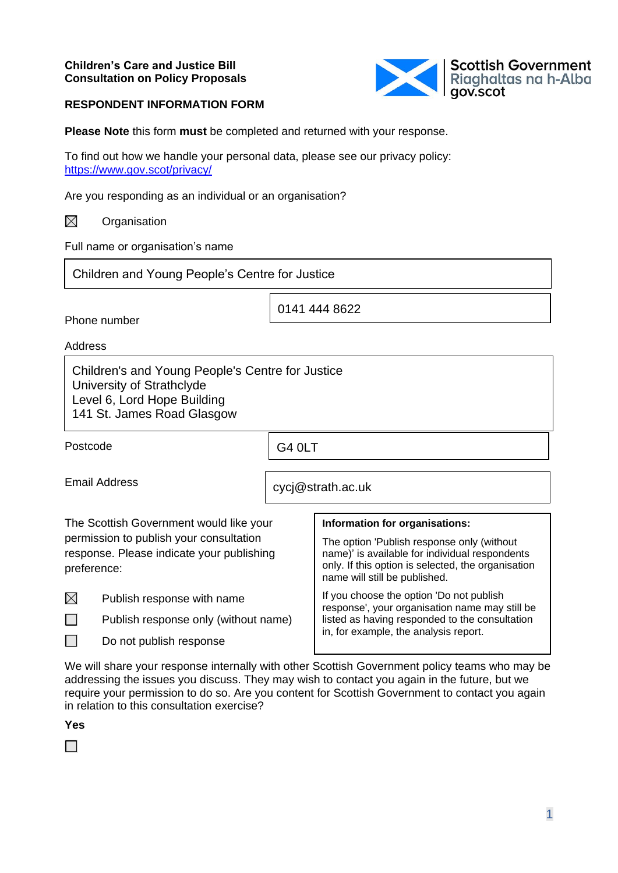

#### **RESPONDENT INFORMATION FORM**

**Please Note** this form **must** be completed and returned with your response.

To find out how we handle your personal data, please see our privacy policy: <https://www.gov.scot/privacy/>

Are you responding as an individual or an organisation?

 $\boxtimes$ **Organisation** 

Full name or organisation's name

Children and Young People's Centre for Justice

Phone number

0141 444 8622

Address

Children's and Young People's Centre for Justice University of Strathclyde Level 6, Lord Hope Building 141 St. James Road Glasgow

Postcode

G4 0LT

Email Address

cycj@strath.ac.uk

| The Scottish Government would like your<br>permission to publish your consultation<br>response. Please indicate your publishing<br>preference: |                                      | Information for organisations:<br>The option 'Publish response only (without<br>name)' is available for individual respondents<br>only. If this option is selected, the organisation<br>name will still be published. |
|------------------------------------------------------------------------------------------------------------------------------------------------|--------------------------------------|-----------------------------------------------------------------------------------------------------------------------------------------------------------------------------------------------------------------------|
| $\boxtimes$                                                                                                                                    | Publish response with name           | If you choose the option 'Do not publish<br>response', your organisation name may still be<br>listed as having responded to the consultation<br>in, for example, the analysis report.                                 |
|                                                                                                                                                | Publish response only (without name) |                                                                                                                                                                                                                       |
|                                                                                                                                                | Do not publish response              |                                                                                                                                                                                                                       |

We will share your response internally with other Scottish Government policy teams who may be addressing the issues you discuss. They may wish to contact you again in the future, but we require your permission to do so. Are you content for Scottish Government to contact you again in relation to this consultation exercise?

**Yes**

 $\Box$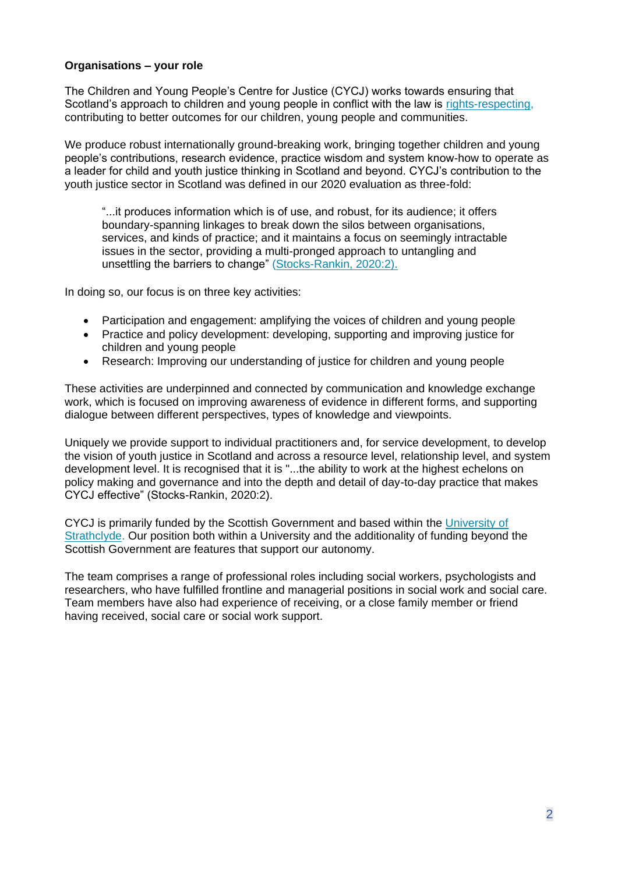## **Organisations – your role**

The Children and Young People's Centre for Justice (CYCJ) works towards ensuring that Scotland's approach to children and young people in conflict with the law is [rights-respecting,](https://www.cycj.org.uk/news/rights-respecting/) contributing to better outcomes for our children, young people and communities.

We produce robust internationally ground-breaking work, bringing together children and young people's contributions, research evidence, practice wisdom and system know-how to operate as a leader for child and youth justice thinking in Scotland and beyond. CYCJ's contribution to the youth justice sector in Scotland was defined in our 2020 evaluation as three-fold:

"...it produces information which is of use, and robust, for its audience; it offers boundary-spanning linkages to break down the silos between organisations, services, and kinds of practice; and it maintains a focus on seemingly intractable issues in the sector, providing a multi-pronged approach to untangling and unsettling the barriers to change" [\(Stocks-Rankin, 2020:2\).](https://www.cycj.org.uk/wp-content/uploads/2020/02/The-contribution-of-CYCJ-Evaluation-report-FINAL.pdf)

In doing so, our focus is on three key activities:

- Participation and engagement: amplifying the voices of children and young people
- Practice and policy development: developing, supporting and improving justice for children and young people
- Research: Improving our understanding of justice for children and young people

These activities are underpinned and connected by communication and knowledge exchange work, which is focused on improving awareness of evidence in different forms, and supporting dialogue between different perspectives, types of knowledge and viewpoints.

Uniquely we provide support to individual practitioners and, for service development, to develop the vision of youth justice in Scotland and across a resource level, relationship level, and system development level. It is recognised that it is "...the ability to work at the highest echelons on policy making and governance and into the depth and detail of day-to-day practice that makes CYCJ effective" (Stocks-Rankin, 2020:2).

CYCJ is primarily funded by the Scottish Government and based within the [University of](https://www.strath.ac.uk/)  [Strathclyde.](https://www.strath.ac.uk/) Our position both within a University and the additionality of funding beyond the Scottish Government are features that support our autonomy.

The team comprises a range of professional roles including social workers, psychologists and researchers, who have fulfilled frontline and managerial positions in social work and social care. Team members have also had experience of receiving, or a close family member or friend having received, social care or social work support.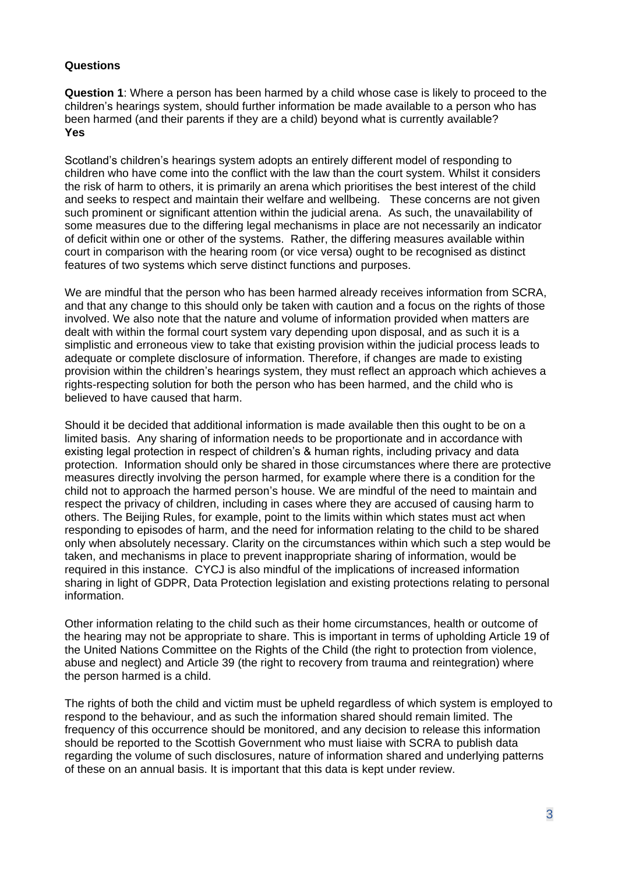## **Questions**

**Question 1**: Where a person has been harmed by a child whose case is likely to proceed to the children's hearings system, should further information be made available to a person who has been harmed (and their parents if they are a child) beyond what is currently available? **Yes** 

Scotland's children's hearings system adopts an entirely different model of responding to children who have come into the conflict with the law than the court system. Whilst it considers the risk of harm to others, it is primarily an arena which prioritises the best interest of the child and seeks to respect and maintain their welfare and wellbeing. These concerns are not given such prominent or significant attention within the judicial arena. As such, the unavailability of some measures due to the differing legal mechanisms in place are not necessarily an indicator of deficit within one or other of the systems. Rather, the differing measures available within court in comparison with the hearing room (or vice versa) ought to be recognised as distinct features of two systems which serve distinct functions and purposes.

We are mindful that the person who has been harmed already receives information from SCRA, and that any change to this should only be taken with caution and a focus on the rights of those involved. We also note that the nature and volume of information provided when matters are dealt with within the formal court system vary depending upon disposal, and as such it is a simplistic and erroneous view to take that existing provision within the judicial process leads to adequate or complete disclosure of information. Therefore, if changes are made to existing provision within the children's hearings system, they must reflect an approach which achieves a rights-respecting solution for both the person who has been harmed, and the child who is believed to have caused that harm.

Should it be decided that additional information is made available then this ought to be on a limited basis. Any sharing of information needs to be proportionate and in accordance with existing legal protection in respect of children's & human rights, including privacy and data protection. Information should only be shared in those circumstances where there are protective measures directly involving the person harmed, for example where there is a condition for the child not to approach the harmed person's house. We are mindful of the need to maintain and respect the privacy of children, including in cases where they are accused of causing harm to others. The Beijing Rules, for example, point to the limits within which states must act when responding to episodes of harm, and the need for information relating to the child to be shared only when absolutely necessary. Clarity on the circumstances within which such a step would be taken, and mechanisms in place to prevent inappropriate sharing of information, would be required in this instance. CYCJ is also mindful of the implications of increased information sharing in light of GDPR, Data Protection legislation and existing protections relating to personal information.

Other information relating to the child such as their home circumstances, health or outcome of the hearing may not be appropriate to share. This is important in terms of upholding Article 19 of the United Nations Committee on the Rights of the Child (the right to protection from violence, abuse and neglect) and Article 39 (the right to recovery from trauma and reintegration) where the person harmed is a child.

The rights of both the child and victim must be upheld regardless of which system is employed to respond to the behaviour, and as such the information shared should remain limited. The frequency of this occurrence should be monitored, and any decision to release this information should be reported to the Scottish Government who must liaise with SCRA to publish data regarding the volume of such disclosures, nature of information shared and underlying patterns of these on an annual basis. It is important that this data is kept under review.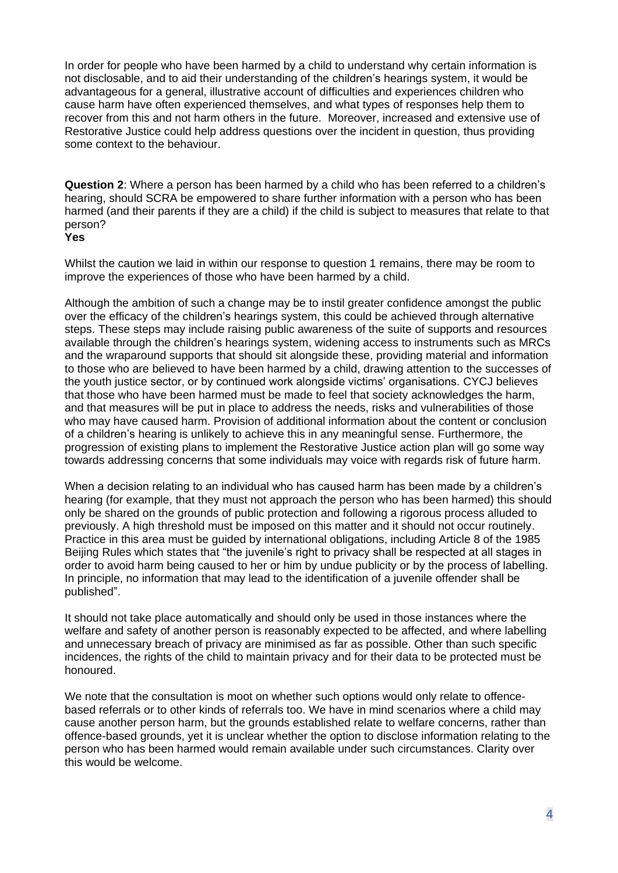In order for people who have been harmed by a child to understand why certain information is not disclosable, and to aid their understanding of the children's hearings system, it would be advantageous for a general, illustrative account of difficulties and experiences children who cause harm have often experienced themselves, and what types of responses help them to recover from this and not harm others in the future. Moreover, increased and extensive use of Restorative Justice could help address questions over the incident in question, thus providing some context to the behaviour.

**Question 2**: Where a person has been harmed by a child who has been referred to a children's hearing, should SCRA be empowered to share further information with a person who has been harmed (and their parents if they are a child) if the child is subject to measures that relate to that person?

## **Yes**

Whilst the caution we laid in within our response to question 1 remains, there may be room to improve the experiences of those who have been harmed by a child.

Although the ambition of such a change may be to instil greater confidence amongst the public over the efficacy of the children's hearings system, this could be achieved through alternative steps. These steps may include raising public awareness of the suite of supports and resources available through the children's hearings system, widening access to instruments such as MRCs and the wraparound supports that should sit alongside these, providing material and information to those who are believed to have been harmed by a child, drawing attention to the successes of the youth justice sector, or by continued work alongside victims' organisations. CYCJ believes that those who have been harmed must be made to feel that society acknowledges the harm, and that measures will be put in place to address the needs, risks and vulnerabilities of those who may have caused harm. Provision of additional information about the content or conclusion of a children's hearing is unlikely to achieve this in any meaningful sense. Furthermore, the progression of existing plans to implement the Restorative Justice action plan will go some way towards addressing concerns that some individuals may voice with regards risk of future harm.

When a decision relating to an individual who has caused harm has been made by a children's hearing (for example, that they must not approach the person who has been harmed) this should only be shared on the grounds of public protection and following a rigorous process alluded to previously. A high threshold must be imposed on this matter and it should not occur routinely. Practice in this area must be guided by international obligations, including Article 8 of the 1985 Beijing Rules which states that "the juvenile's right to privacy shall be respected at all stages in order to avoid harm being caused to her or him by undue publicity or by the process of labelling. In principle, no information that may lead to the identification of a juvenile offender shall be published".

It should not take place automatically and should only be used in those instances where the welfare and safety of another person is reasonably expected to be affected, and where labelling and unnecessary breach of privacy are minimised as far as possible. Other than such specific incidences, the rights of the child to maintain privacy and for their data to be protected must be honoured.

We note that the consultation is moot on whether such options would only relate to offencebased referrals or to other kinds of referrals too. We have in mind scenarios where a child may cause another person harm, but the grounds established relate to welfare concerns, rather than offence-based grounds, yet it is unclear whether the option to disclose information relating to the person who has been harmed would remain available under such circumstances. Clarity over this would be welcome.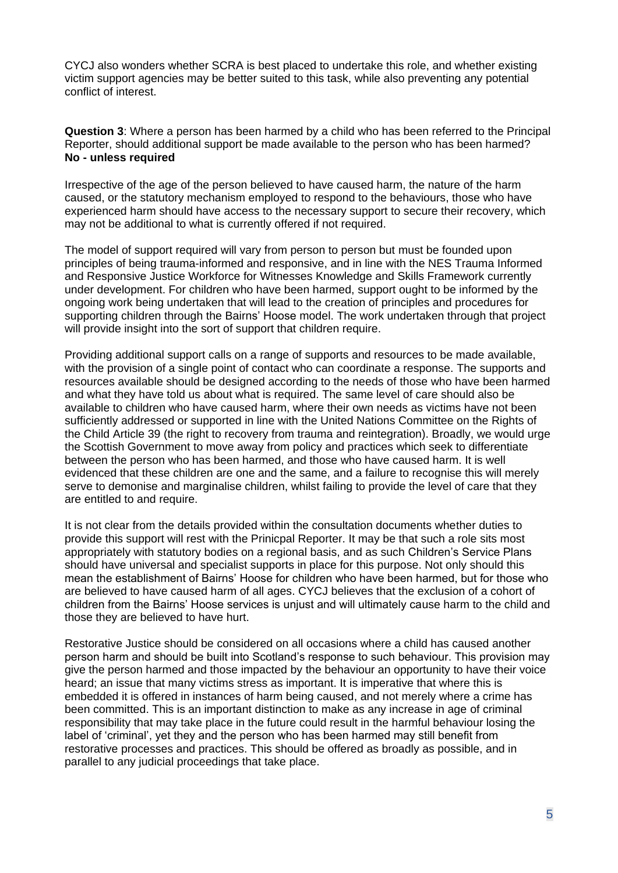CYCJ also wonders whether SCRA is best placed to undertake this role, and whether existing victim support agencies may be better suited to this task, while also preventing any potential conflict of interest.

**Question 3**: Where a person has been harmed by a child who has been referred to the Principal Reporter, should additional support be made available to the person who has been harmed? **No - unless required**

Irrespective of the age of the person believed to have caused harm, the nature of the harm caused, or the statutory mechanism employed to respond to the behaviours, those who have experienced harm should have access to the necessary support to secure their recovery, which may not be additional to what is currently offered if not required.

The model of support required will vary from person to person but must be founded upon principles of being trauma-informed and responsive, and in line with the NES Trauma Informed and Responsive Justice Workforce for Witnesses Knowledge and Skills Framework currently under development. For children who have been harmed, support ought to be informed by the ongoing work being undertaken that will lead to the creation of principles and procedures for supporting children through the Bairns' Hoose model. The work undertaken through that project will provide insight into the sort of support that children require.

Providing additional support calls on a range of supports and resources to be made available, with the provision of a single point of contact who can coordinate a response. The supports and resources available should be designed according to the needs of those who have been harmed and what they have told us about what is required. The same level of care should also be available to children who have caused harm, where their own needs as victims have not been sufficiently addressed or supported in line with the United Nations Committee on the Rights of the Child Article 39 (the right to recovery from trauma and reintegration). Broadly, we would urge the Scottish Government to move away from policy and practices which seek to differentiate between the person who has been harmed, and those who have caused harm. It is well evidenced that these children are one and the same, and a failure to recognise this will merely serve to demonise and marginalise children, whilst failing to provide the level of care that they are entitled to and require.

It is not clear from the details provided within the consultation documents whether duties to provide this support will rest with the Prinicpal Reporter. It may be that such a role sits most appropriately with statutory bodies on a regional basis, and as such Children's Service Plans should have universal and specialist supports in place for this purpose. Not only should this mean the establishment of Bairns' Hoose for children who have been harmed, but for those who are believed to have caused harm of all ages. CYCJ believes that the exclusion of a cohort of children from the Bairns' Hoose services is unjust and will ultimately cause harm to the child and those they are believed to have hurt.

Restorative Justice should be considered on all occasions where a child has caused another person harm and should be built into Scotland's response to such behaviour. This provision may give the person harmed and those impacted by the behaviour an opportunity to have their voice heard; an issue that many victims stress as important. It is imperative that where this is embedded it is offered in instances of harm being caused, and not merely where a crime has been committed. This is an important distinction to make as any increase in age of criminal responsibility that may take place in the future could result in the harmful behaviour losing the label of 'criminal', yet they and the person who has been harmed may still benefit from restorative processes and practices. This should be offered as broadly as possible, and in parallel to any judicial proceedings that take place.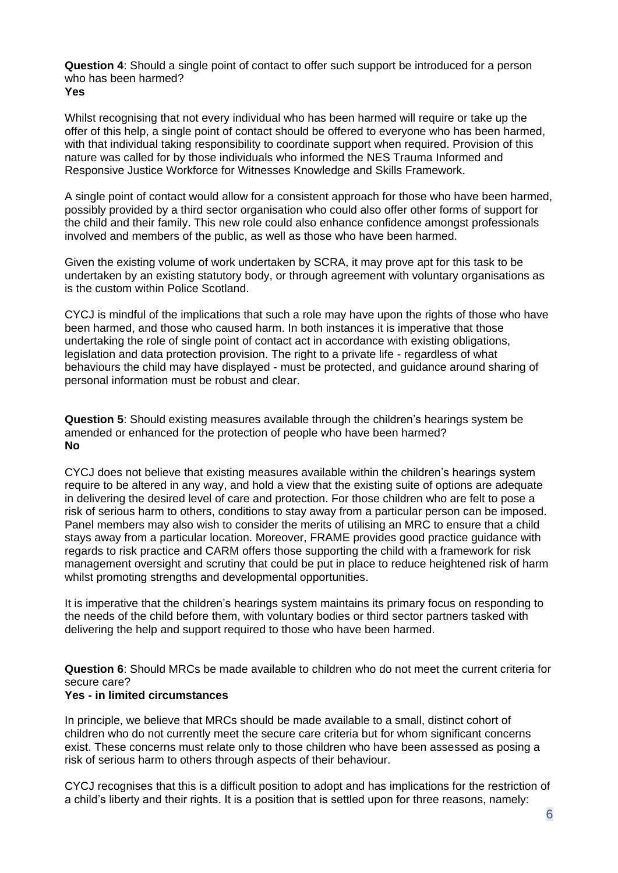**Question 4**: Should a single point of contact to offer such support be introduced for a person who has been harmed? **Yes**

Whilst recognising that not every individual who has been harmed will require or take up the offer of this help, a single point of contact should be offered to everyone who has been harmed, with that individual taking responsibility to coordinate support when required. Provision of this nature was called for by those individuals who informed the NES Trauma Informed and Responsive Justice Workforce for Witnesses Knowledge and Skills Framework.

A single point of contact would allow for a consistent approach for those who have been harmed, possibly provided by a third sector organisation who could also offer other forms of support for the child and their family. This new role could also enhance confidence amongst professionals involved and members of the public, as well as those who have been harmed.

Given the existing volume of work undertaken by SCRA, it may prove apt for this task to be undertaken by an existing statutory body, or through agreement with voluntary organisations as is the custom within Police Scotland.

CYCJ is mindful of the implications that such a role may have upon the rights of those who have been harmed, and those who caused harm. In both instances it is imperative that those undertaking the role of single point of contact act in accordance with existing obligations, legislation and data protection provision. The right to a private life - regardless of what behaviours the child may have displayed - must be protected, and guidance around sharing of personal information must be robust and clear.

**Question 5**: Should existing measures available through the children's hearings system be amended or enhanced for the protection of people who have been harmed? **No** 

CYCJ does not believe that existing measures available within the children's hearings system require to be altered in any way, and hold a view that the existing suite of options are adequate in delivering the desired level of care and protection. For those children who are felt to pose a risk of serious harm to others, conditions to stay away from a particular person can be imposed. Panel members may also wish to consider the merits of utilising an MRC to ensure that a child stays away from a particular location. Moreover, FRAME provides good practice guidance with regards to risk practice and CARM offers those supporting the child with a framework for risk management oversight and scrutiny that could be put in place to reduce heightened risk of harm whilst promoting strengths and developmental opportunities.

It is imperative that the children's hearings system maintains its primary focus on responding to the needs of the child before them, with voluntary bodies or third sector partners tasked with delivering the help and support required to those who have been harmed.

**Question 6**: Should MRCs be made available to children who do not meet the current criteria for secure care?

#### **Yes - in limited circumstances**

In principle, we believe that MRCs should be made available to a small, distinct cohort of children who do not currently meet the secure care criteria but for whom significant concerns exist. These concerns must relate only to those children who have been assessed as posing a risk of serious harm to others through aspects of their behaviour.

CYCJ recognises that this is a difficult position to adopt and has implications for the restriction of a child's liberty and their rights. It is a position that is settled upon for three reasons, namely: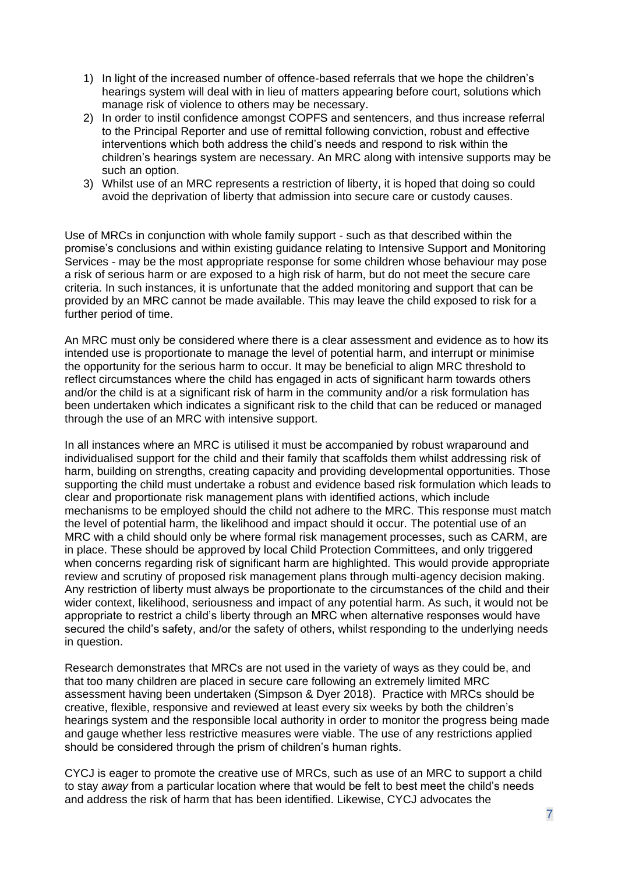- 1) In light of the increased number of offence-based referrals that we hope the children's hearings system will deal with in lieu of matters appearing before court, solutions which manage risk of violence to others may be necessary.
- 2) In order to instil confidence amongst COPFS and sentencers, and thus increase referral to the Principal Reporter and use of remittal following conviction, robust and effective interventions which both address the child's needs and respond to risk within the children's hearings system are necessary. An MRC along with intensive supports may be such an option.
- 3) Whilst use of an MRC represents a restriction of liberty, it is hoped that doing so could avoid the deprivation of liberty that admission into secure care or custody causes.

Use of MRCs in conjunction with whole family support - such as that described within the promise's conclusions and within existing guidance relating to Intensive Support and Monitoring Services - may be the most appropriate response for some children whose behaviour may pose a risk of serious harm or are exposed to a high risk of harm, but do not meet the secure care criteria. In such instances, it is unfortunate that the added monitoring and support that can be provided by an MRC cannot be made available. This may leave the child exposed to risk for a further period of time.

An MRC must only be considered where there is a clear assessment and evidence as to how its intended use is proportionate to manage the level of potential harm, and interrupt or minimise the opportunity for the serious harm to occur. It may be beneficial to align MRC threshold to reflect circumstances where the child has engaged in acts of significant harm towards others and/or the child is at a significant risk of harm in the community and/or a risk formulation has been undertaken which indicates a significant risk to the child that can be reduced or managed through the use of an MRC with intensive support.

In all instances where an MRC is utilised it must be accompanied by robust wraparound and individualised support for the child and their family that scaffolds them whilst addressing risk of harm, building on strengths, creating capacity and providing developmental opportunities. Those supporting the child must undertake a robust and evidence based risk formulation which leads to clear and proportionate risk management plans with identified actions, which include mechanisms to be employed should the child not adhere to the MRC. This response must match the level of potential harm, the likelihood and impact should it occur. The potential use of an MRC with a child should only be where formal risk management processes, such as CARM, are in place. These should be approved by local Child Protection Committees, and only triggered when concerns regarding risk of significant harm are highlighted. This would provide appropriate review and scrutiny of proposed risk management plans through multi-agency decision making. Any restriction of liberty must always be proportionate to the circumstances of the child and their wider context, likelihood, seriousness and impact of any potential harm. As such, it would not be appropriate to restrict a child's liberty through an MRC when alternative responses would have secured the child's safety, and/or the safety of others, whilst responding to the underlying needs in question.

Research demonstrates that MRCs are not used in the variety of ways as they could be, and that too many children are placed in secure care following an extremely limited MRC assessment having been undertaken (Simpson & Dyer 2018). Practice with MRCs should be creative, flexible, responsive and reviewed at least every six weeks by both the children's hearings system and the responsible local authority in order to monitor the progress being made and gauge whether less restrictive measures were viable. The use of any restrictions applied should be considered through the prism of children's human rights.

CYCJ is eager to promote the creative use of MRCs, such as use of an MRC to support a child to stay *away* from a particular location where that would be felt to best meet the child's needs and address the risk of harm that has been identified. Likewise, CYCJ advocates the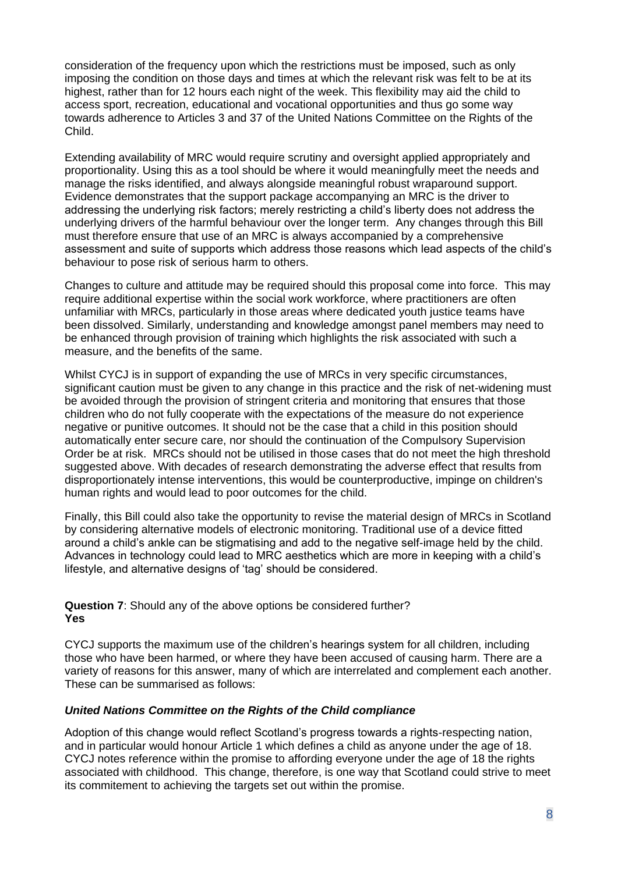consideration of the frequency upon which the restrictions must be imposed, such as only imposing the condition on those days and times at which the relevant risk was felt to be at its highest, rather than for 12 hours each night of the week. This flexibility may aid the child to access sport, recreation, educational and vocational opportunities and thus go some way towards adherence to Articles 3 and 37 of the United Nations Committee on the Rights of the Child.

Extending availability of MRC would require scrutiny and oversight applied appropriately and proportionality. Using this as a tool should be where it would meaningfully meet the needs and manage the risks identified, and always alongside meaningful robust wraparound support. Evidence demonstrates that the support package accompanying an MRC is the driver to addressing the underlying risk factors; merely restricting a child's liberty does not address the underlying drivers of the harmful behaviour over the longer term. Any changes through this Bill must therefore ensure that use of an MRC is always accompanied by a comprehensive assessment and suite of supports which address those reasons which lead aspects of the child's behaviour to pose risk of serious harm to others.

Changes to culture and attitude may be required should this proposal come into force. This may require additional expertise within the social work workforce, where practitioners are often unfamiliar with MRCs, particularly in those areas where dedicated youth justice teams have been dissolved. Similarly, understanding and knowledge amongst panel members may need to be enhanced through provision of training which highlights the risk associated with such a measure, and the benefits of the same.

Whilst CYCJ is in support of expanding the use of MRCs in very specific circumstances, significant caution must be given to any change in this practice and the risk of net-widening must be avoided through the provision of stringent criteria and monitoring that ensures that those children who do not fully cooperate with the expectations of the measure do not experience negative or punitive outcomes. It should not be the case that a child in this position should automatically enter secure care, nor should the continuation of the Compulsory Supervision Order be at risk. MRCs should not be utilised in those cases that do not meet the high threshold suggested above. With decades of research demonstrating the adverse effect that results from disproportionately intense interventions, this would be counterproductive, impinge on children's human rights and would lead to poor outcomes for the child.

Finally, this Bill could also take the opportunity to revise the material design of MRCs in Scotland by considering alternative models of electronic monitoring. Traditional use of a device fitted around a child's ankle can be stigmatising and add to the negative self-image held by the child. Advances in technology could lead to MRC aesthetics which are more in keeping with a child's lifestyle, and alternative designs of 'tag' should be considered.

**Question 7**: Should any of the above options be considered further? **Yes**

CYCJ supports the maximum use of the children's hearings system for all children, including those who have been harmed, or where they have been accused of causing harm. There are a variety of reasons for this answer, many of which are interrelated and complement each another. These can be summarised as follows:

#### *United Nations Committee on the Rights of the Child compliance*

Adoption of this change would reflect Scotland's progress towards a rights-respecting nation, and in particular would honour Article 1 which defines a child as anyone under the age of 18. CYCJ notes reference within the promise to affording everyone under the age of 18 the rights associated with childhood. This change, therefore, is one way that Scotland could strive to meet its commitement to achieving the targets set out within the promise.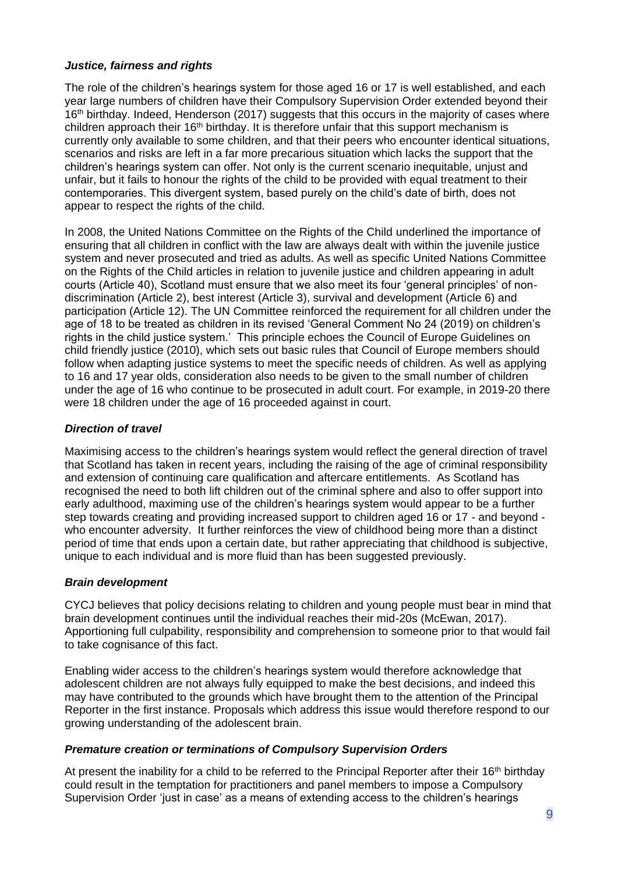## *Justice, fairness and rights*

The role of the children's hearings system for those aged 16 or 17 is well established, and each year large numbers of children have their Compulsory Supervision Order extended beyond their 16<sup>th</sup> birthday. Indeed, Henderson (2017) suggests that this occurs in the majority of cases where children approach their  $16<sup>th</sup>$  birthday. It is therefore unfair that this support mechanism is currently only available to some children, and that their peers who encounter identical situations, scenarios and risks are left in a far more precarious situation which lacks the support that the children's hearings system can offer. Not only is the current scenario inequitable, unjust and unfair, but it fails to honour the rights of the child to be provided with equal treatment to their contemporaries. This divergent system, based purely on the child's date of birth, does not appear to respect the rights of the child.

In 2008, the United Nations Committee on the Rights of the Child underlined the importance of ensuring that all children in conflict with the law are always dealt with within the juvenile justice system and never prosecuted and tried as adults. As well as specific United Nations Committee on the Rights of the Child articles in relation to juvenile justice and children appearing in adult courts (Article 40), Scotland must ensure that we also meet its four 'general principles' of nondiscrimination (Article 2), best interest (Article 3), survival and development (Article 6) and participation (Article 12). The UN Committee reinforced the requirement for all children under the age of 18 to be treated as children in its revised 'General Comment No 24 (2019) on children's rights in the child justice system.' This principle echoes the Council of Europe Guidelines on child friendly justice (2010), which sets out basic rules that Council of Europe members should follow when adapting justice systems to meet the specific needs of children. As well as applying to 16 and 17 year olds, consideration also needs to be given to the small number of children under the age of 16 who continue to be prosecuted in adult court. For example, in 2019-20 there were 18 children under the age of 16 proceeded against in court.

# *Direction of travel*

Maximising access to the children's hearings system would reflect the general direction of travel that Scotland has taken in recent years, including the raising of the age of criminal responsibility and extension of continuing care qualification and aftercare entitlements. As Scotland has recognised the need to both lift children out of the criminal sphere and also to offer support into early adulthood, maximing use of the children's hearings system would appear to be a further step towards creating and providing increased support to children aged 16 or 17 - and beyond who encounter adversity. It further reinforces the view of childhood being more than a distinct period of time that ends upon a certain date, but rather appreciating that childhood is subjective, unique to each individual and is more fluid than has been suggested previously.

#### *Brain development*

CYCJ believes that policy decisions relating to children and young people must bear in mind that brain development continues until the individual reaches their mid-20s (McEwan, 2017). Apportioning full culpability, responsibility and comprehension to someone prior to that would fail to take cognisance of this fact.

Enabling wider access to the children's hearings system would therefore acknowledge that adolescent children are not always fully equipped to make the best decisions, and indeed this may have contributed to the grounds which have brought them to the attention of the Principal Reporter in the first instance. Proposals which address this issue would therefore respond to our growing understanding of the adolescent brain.

# *Premature creation or terminations of Compulsory Supervision Orders*

At present the inability for a child to be referred to the Principal Reporter after their 16<sup>th</sup> birthday could result in the temptation for practitioners and panel members to impose a Compulsory Supervision Order 'just in case' as a means of extending access to the children's hearings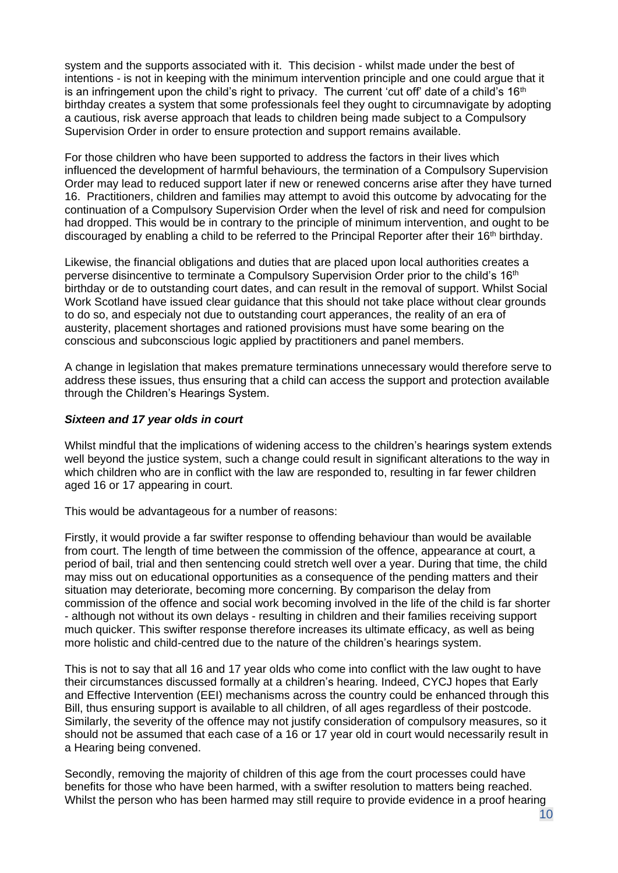system and the supports associated with it. This decision - whilst made under the best of intentions - is not in keeping with the minimum intervention principle and one could argue that it is an infringement upon the child's right to privacy. The current 'cut off' date of a child's  $16<sup>th</sup>$ birthday creates a system that some professionals feel they ought to circumnavigate by adopting a cautious, risk averse approach that leads to children being made subject to a Compulsory Supervision Order in order to ensure protection and support remains available.

For those children who have been supported to address the factors in their lives which influenced the development of harmful behaviours, the termination of a Compulsory Supervision Order may lead to reduced support later if new or renewed concerns arise after they have turned 16. Practitioners, children and families may attempt to avoid this outcome by advocating for the continuation of a Compulsory Supervision Order when the level of risk and need for compulsion had dropped. This would be in contrary to the principle of minimum intervention, and ought to be discouraged by enabling a child to be referred to the Principal Reporter after their 16th birthday.

Likewise, the financial obligations and duties that are placed upon local authorities creates a perverse disincentive to terminate a Compulsory Supervision Order prior to the child's 16<sup>th</sup> birthday or de to outstanding court dates, and can result in the removal of support. Whilst Social Work Scotland have issued clear guidance that this should not take place without clear grounds to do so, and especialy not due to outstanding court apperances, the reality of an era of austerity, placement shortages and rationed provisions must have some bearing on the conscious and subconscious logic applied by practitioners and panel members.

A change in legislation that makes premature terminations unnecessary would therefore serve to address these issues, thus ensuring that a child can access the support and protection available through the Children's Hearings System.

#### *Sixteen and 17 year olds in court*

Whilst mindful that the implications of widening access to the children's hearings system extends well beyond the justice system, such a change could result in significant alterations to the way in which children who are in conflict with the law are responded to, resulting in far fewer children aged 16 or 17 appearing in court.

This would be advantageous for a number of reasons:

Firstly, it would provide a far swifter response to offending behaviour than would be available from court. The length of time between the commission of the offence, appearance at court, a period of bail, trial and then sentencing could stretch well over a year. During that time, the child may miss out on educational opportunities as a consequence of the pending matters and their situation may deteriorate, becoming more concerning. By comparison the delay from commission of the offence and social work becoming involved in the life of the child is far shorter - although not without its own delays - resulting in children and their families receiving support much quicker. This swifter response therefore increases its ultimate efficacy, as well as being more holistic and child-centred due to the nature of the children's hearings system.

This is not to say that all 16 and 17 year olds who come into conflict with the law ought to have their circumstances discussed formally at a children's hearing. Indeed, CYCJ hopes that Early and Effective Intervention (EEI) mechanisms across the country could be enhanced through this Bill, thus ensuring support is available to all children, of all ages regardless of their postcode. Similarly, the severity of the offence may not justify consideration of compulsory measures, so it should not be assumed that each case of a 16 or 17 year old in court would necessarily result in a Hearing being convened.

Secondly, removing the majority of children of this age from the court processes could have benefits for those who have been harmed, with a swifter resolution to matters being reached. Whilst the person who has been harmed may still require to provide evidence in a proof hearing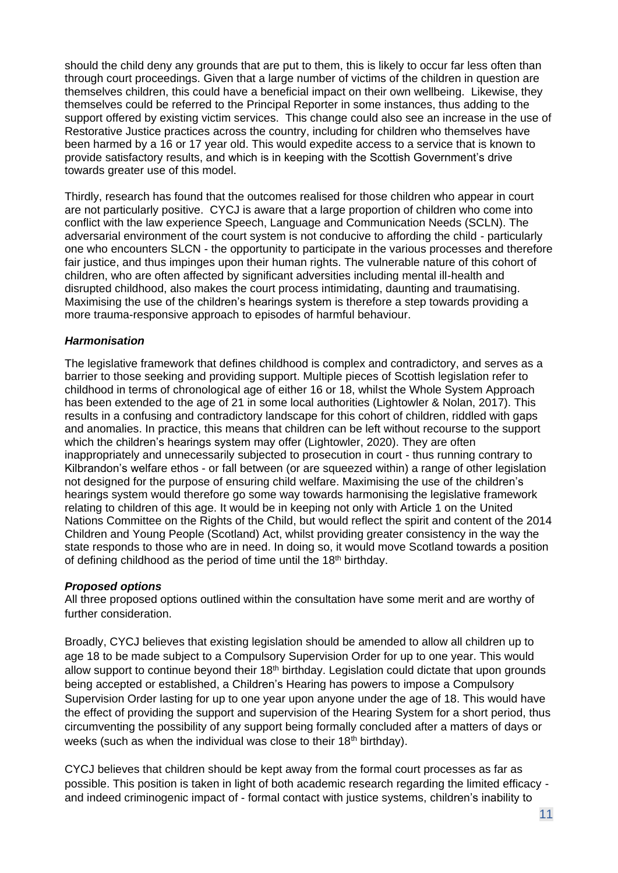should the child deny any grounds that are put to them, this is likely to occur far less often than through court proceedings. Given that a large number of victims of the children in question are themselves children, this could have a beneficial impact on their own wellbeing. Likewise, they themselves could be referred to the Principal Reporter in some instances, thus adding to the support offered by existing victim services. This change could also see an increase in the use of Restorative Justice practices across the country, including for children who themselves have been harmed by a 16 or 17 year old. This would expedite access to a service that is known to provide satisfactory results, and which is in keeping with the Scottish Government's drive towards greater use of this model.

Thirdly, research has found that the outcomes realised for those children who appear in court are not particularly positive. CYCJ is aware that a large proportion of children who come into conflict with the law experience Speech, Language and Communication Needs (SCLN). The adversarial environment of the court system is not conducive to affording the child - particularly one who encounters SLCN - the opportunity to participate in the various processes and therefore fair justice, and thus impinges upon their human rights. The vulnerable nature of this cohort of children, who are often affected by significant adversities including mental ill-health and disrupted childhood, also makes the court process intimidating, daunting and traumatising. Maximising the use of the children's hearings system is therefore a step towards providing a more trauma-responsive approach to episodes of harmful behaviour.

#### *Harmonisation*

The legislative framework that defines childhood is complex and contradictory, and serves as a barrier to those seeking and providing support. Multiple pieces of Scottish legislation refer to childhood in terms of chronological age of either 16 or 18, whilst the Whole System Approach has been extended to the age of 21 in some local authorities (Lightowler & Nolan, 2017). This results in a confusing and contradictory landscape for this cohort of children, riddled with gaps and anomalies. In practice, this means that children can be left without recourse to the support which the children's hearings system may offer (Lightowler, 2020). They are often inappropriately and unnecessarily subjected to prosecution in court - thus running contrary to Kilbrandon's welfare ethos - or fall between (or are squeezed within) a range of other legislation not designed for the purpose of ensuring child welfare. Maximising the use of the children's hearings system would therefore go some way towards harmonising the legislative framework relating to children of this age. It would be in keeping not only with Article 1 on the United Nations Committee on the Rights of the Child, but would reflect the spirit and content of the 2014 Children and Young People (Scotland) Act, whilst providing greater consistency in the way the state responds to those who are in need. In doing so, it would move Scotland towards a position of defining childhood as the period of time until the  $18<sup>th</sup>$  birthday.

#### *Proposed options*

All three proposed options outlined within the consultation have some merit and are worthy of further consideration.

Broadly, CYCJ believes that existing legislation should be amended to allow all children up to age 18 to be made subject to a Compulsory Supervision Order for up to one year. This would allow support to continue beyond their  $18<sup>th</sup>$  birthday. Legislation could dictate that upon grounds being accepted or established, a Children's Hearing has powers to impose a Compulsory Supervision Order lasting for up to one year upon anyone under the age of 18. This would have the effect of providing the support and supervision of the Hearing System for a short period, thus circumventing the possibility of any support being formally concluded after a matters of days or weeks (such as when the individual was close to their 18<sup>th</sup> birthday).

CYCJ believes that children should be kept away from the formal court processes as far as possible. This position is taken in light of both academic research regarding the limited efficacy and indeed criminogenic impact of - formal contact with justice systems, children's inability to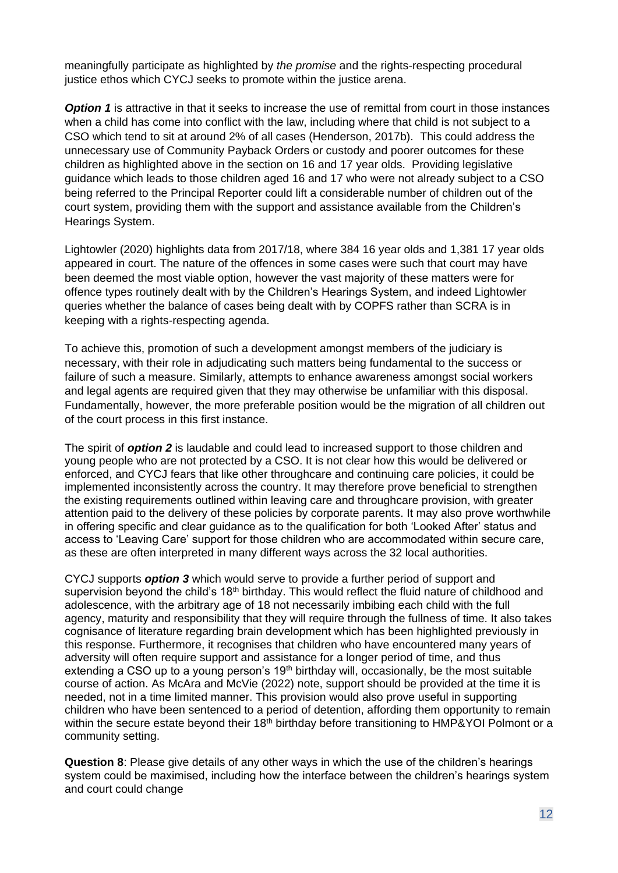meaningfully participate as highlighted by *the promise* and the rights-respecting procedural justice ethos which CYCJ seeks to promote within the justice arena.

**Option 1** is attractive in that it seeks to increase the use of remittal from court in those instances when a child has come into conflict with the law, including where that child is not subject to a CSO which tend to sit at around 2% of all cases (Henderson, 2017b). This could address the unnecessary use of Community Payback Orders or custody and poorer outcomes for these children as highlighted above in the section on 16 and 17 year olds. Providing legislative guidance which leads to those children aged 16 and 17 who were not already subject to a CSO being referred to the Principal Reporter could lift a considerable number of children out of the court system, providing them with the support and assistance available from the Children's Hearings System.

Lightowler (2020) highlights data from 2017/18, where 384 16 year olds and 1,381 17 year olds appeared in court. The nature of the offences in some cases were such that court may have been deemed the most viable option, however the vast majority of these matters were for offence types routinely dealt with by the Children's Hearings System, and indeed Lightowler queries whether the balance of cases being dealt with by COPFS rather than SCRA is in keeping with a rights-respecting agenda.

To achieve this, promotion of such a development amongst members of the judiciary is necessary, with their role in adjudicating such matters being fundamental to the success or failure of such a measure. Similarly, attempts to enhance awareness amongst social workers and legal agents are required given that they may otherwise be unfamiliar with this disposal. Fundamentally, however, the more preferable position would be the migration of all children out of the court process in this first instance.

The spirit of *option 2* is laudable and could lead to increased support to those children and young people who are not protected by a CSO. It is not clear how this would be delivered or enforced, and CYCJ fears that like other throughcare and continuing care policies, it could be implemented inconsistently across the country. It may therefore prove beneficial to strengthen the existing requirements outlined within leaving care and throughcare provision, with greater attention paid to the delivery of these policies by corporate parents. It may also prove worthwhile in offering specific and clear guidance as to the qualification for both 'Looked After' status and access to 'Leaving Care' support for those children who are accommodated within secure care, as these are often interpreted in many different ways across the 32 local authorities.

CYCJ supports *option 3* which would serve to provide a further period of support and supervision beyond the child's 18<sup>th</sup> birthday. This would reflect the fluid nature of childhood and adolescence, with the arbitrary age of 18 not necessarily imbibing each child with the full agency, maturity and responsibility that they will require through the fullness of time. It also takes cognisance of literature regarding brain development which has been highlighted previously in this response. Furthermore, it recognises that children who have encountered many years of adversity will often require support and assistance for a longer period of time, and thus extending a CSO up to a young person's  $19<sup>th</sup>$  birthday will, occasionally, be the most suitable course of action. As McAra and McVie (2022) note, support should be provided at the time it is needed, not in a time limited manner. This provision would also prove useful in supporting children who have been sentenced to a period of detention, affording them opportunity to remain within the secure estate beyond their 18<sup>th</sup> birthday before transitioning to HMP&YOI Polmont or a community setting.

**Question 8**: Please give details of any other ways in which the use of the children's hearings system could be maximised, including how the interface between the children's hearings system and court could change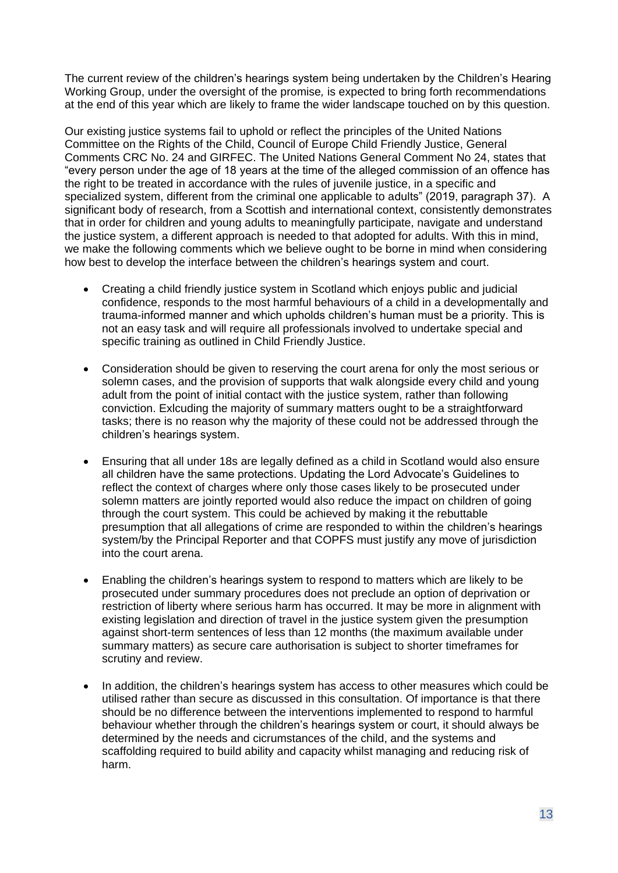The current review of the children's hearings system being undertaken by the Children's Hearing Working Group, under the oversight of the promise*,* is expected to bring forth recommendations at the end of this year which are likely to frame the wider landscape touched on by this question.

Our existing justice systems fail to uphold or reflect the principles of the United Nations Committee on the Rights of the Child, Council of Europe Child Friendly Justice, General Comments CRC No. 24 and GIRFEC. The United Nations General Comment No 24, states that "every person under the age of 18 years at the time of the alleged commission of an offence has the right to be treated in accordance with the rules of juvenile justice, in a specific and specialized system, different from the criminal one applicable to adults" (2019, paragraph 37). A significant body of research, from a Scottish and international context, consistently demonstrates that in order for children and young adults to meaningfully participate, navigate and understand the justice system, a different approach is needed to that adopted for adults. With this in mind, we make the following comments which we believe ought to be borne in mind when considering how best to develop the interface between the children's hearings system and court.

- Creating a child friendly justice system in Scotland which enjoys public and judicial confidence, responds to the most harmful behaviours of a child in a developmentally and trauma-informed manner and which upholds children's human must be a priority. This is not an easy task and will require all professionals involved to undertake special and specific training as outlined in Child Friendly Justice.
- Consideration should be given to reserving the court arena for only the most serious or solemn cases, and the provision of supports that walk alongside every child and young adult from the point of initial contact with the justice system, rather than following conviction. Exlcuding the majority of summary matters ought to be a straightforward tasks; there is no reason why the majority of these could not be addressed through the children's hearings system.
- Ensuring that all under 18s are legally defined as a child in Scotland would also ensure all children have the same protections. Updating the Lord Advocate's Guidelines to reflect the context of charges where only those cases likely to be prosecuted under solemn matters are jointly reported would also reduce the impact on children of going through the court system. This could be achieved by making it the rebuttable presumption that all allegations of crime are responded to within the children's hearings system/by the Principal Reporter and that COPFS must justify any move of jurisdiction into the court arena.
- Enabling the children's hearings system to respond to matters which are likely to be prosecuted under summary procedures does not preclude an option of deprivation or restriction of liberty where serious harm has occurred. It may be more in alignment with existing legislation and direction of travel in the justice system given the presumption against short-term sentences of less than 12 months (the maximum available under summary matters) as secure care authorisation is subject to shorter timeframes for scrutiny and review.
- In addition, the children's hearings system has access to other measures which could be utilised rather than secure as discussed in this consultation. Of importance is that there should be no difference between the interventions implemented to respond to harmful behaviour whether through the children's hearings system or court, it should always be determined by the needs and cicrumstances of the child, and the systems and scaffolding required to build ability and capacity whilst managing and reducing risk of harm.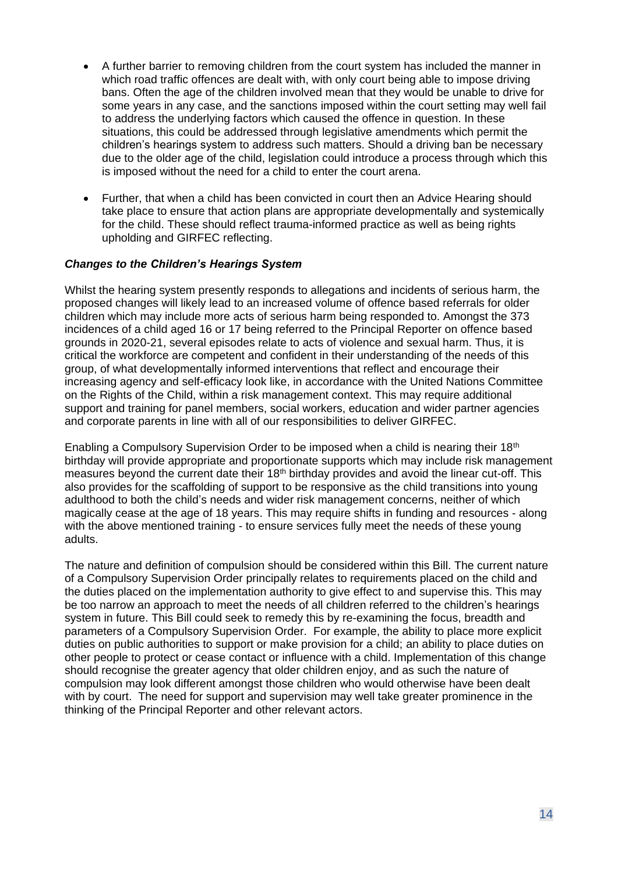- A further barrier to removing children from the court system has included the manner in which road traffic offences are dealt with, with only court being able to impose driving bans. Often the age of the children involved mean that they would be unable to drive for some years in any case, and the sanctions imposed within the court setting may well fail to address the underlying factors which caused the offence in question. In these situations, this could be addressed through legislative amendments which permit the children's hearings system to address such matters. Should a driving ban be necessary due to the older age of the child, legislation could introduce a process through which this is imposed without the need for a child to enter the court arena.
- Further, that when a child has been convicted in court then an Advice Hearing should take place to ensure that action plans are appropriate developmentally and systemically for the child. These should reflect trauma-informed practice as well as being rights upholding and GIRFEC reflecting.

#### *Changes to the Children's Hearings System*

Whilst the hearing system presently responds to allegations and incidents of serious harm, the proposed changes will likely lead to an increased volume of offence based referrals for older children which may include more acts of serious harm being responded to. Amongst the 373 incidences of a child aged 16 or 17 being referred to the Principal Reporter on offence based grounds in 2020-21, several episodes relate to acts of violence and sexual harm. Thus, it is critical the workforce are competent and confident in their understanding of the needs of this group, of what developmentally informed interventions that reflect and encourage their increasing agency and self-efficacy look like, in accordance with the United Nations Committee on the Rights of the Child, within a risk management context. This may require additional support and training for panel members, social workers, education and wider partner agencies and corporate parents in line with all of our responsibilities to deliver GIRFEC.

Enabling a Compulsory Supervision Order to be imposed when a child is nearing their 18<sup>th</sup> birthday will provide appropriate and proportionate supports which may include risk management measures beyond the current date their 18th birthday provides and avoid the linear cut-off. This also provides for the scaffolding of support to be responsive as the child transitions into young adulthood to both the child's needs and wider risk management concerns, neither of which magically cease at the age of 18 years. This may require shifts in funding and resources - along with the above mentioned training - to ensure services fully meet the needs of these young adults.

The nature and definition of compulsion should be considered within this Bill. The current nature of a Compulsory Supervision Order principally relates to requirements placed on the child and the duties placed on the implementation authority to give effect to and supervise this. This may be too narrow an approach to meet the needs of all children referred to the children's hearings system in future. This Bill could seek to remedy this by re-examining the focus, breadth and parameters of a Compulsory Supervision Order. For example, the ability to place more explicit duties on public authorities to support or make provision for a child; an ability to place duties on other people to protect or cease contact or influence with a child. Implementation of this change should recognise the greater agency that older children enjoy, and as such the nature of compulsion may look different amongst those children who would otherwise have been dealt with by court. The need for support and supervision may well take greater prominence in the thinking of the Principal Reporter and other relevant actors.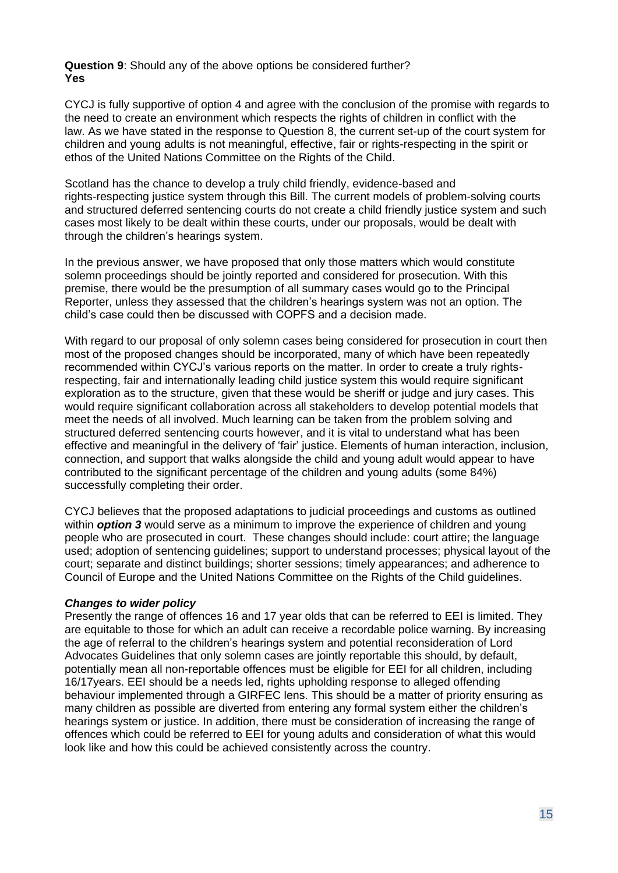**Question 9**: Should any of the above options be considered further? **Yes**

CYCJ is fully supportive of option 4 and agree with the conclusion of the promise with regards to the need to create an environment which respects the rights of children in conflict with the law. As we have stated in the response to Question 8, the current set-up of the court system for children and young adults is not meaningful, effective, fair or rights-respecting in the spirit or ethos of the United Nations Committee on the Rights of the Child.

Scotland has the chance to develop a truly child friendly, evidence-based and rights-respecting justice system through this Bill. The current models of problem-solving courts and structured deferred sentencing courts do not create a child friendly justice system and such cases most likely to be dealt within these courts, under our proposals, would be dealt with through the children's hearings system.

In the previous answer, we have proposed that only those matters which would constitute solemn proceedings should be jointly reported and considered for prosecution. With this premise, there would be the presumption of all summary cases would go to the Principal Reporter, unless they assessed that the children's hearings system was not an option. The child's case could then be discussed with COPFS and a decision made.

With regard to our proposal of only solemn cases being considered for prosecution in court then most of the proposed changes should be incorporated, many of which have been repeatedly recommended within CYCJ's various reports on the matter. In order to create a truly rightsrespecting, fair and internationally leading child justice system this would require significant exploration as to the structure, given that these would be sheriff or judge and jury cases. This would require significant collaboration across all stakeholders to develop potential models that meet the needs of all involved. Much learning can be taken from the problem solving and structured deferred sentencing courts however, and it is vital to understand what has been effective and meaningful in the delivery of 'fair' justice. Elements of human interaction, inclusion, connection, and support that walks alongside the child and young adult would appear to have contributed to the significant percentage of the children and young adults (some 84%) successfully completing their order.

CYCJ believes that the proposed adaptations to judicial proceedings and customs as outlined within *option 3* would serve as a minimum to improve the experience of children and young people who are prosecuted in court. These changes should include: court attire; the language used; adoption of sentencing guidelines; support to understand processes; physical layout of the court; separate and distinct buildings; shorter sessions; timely appearances; and adherence to Council of Europe and the United Nations Committee on the Rights of the Child guidelines.

#### *Changes to wider policy*

Presently the range of offences 16 and 17 year olds that can be referred to EEI is limited. They are equitable to those for which an adult can receive a recordable police warning. By increasing the age of referral to the children's hearings system and potential reconsideration of Lord Advocates Guidelines that only solemn cases are jointly reportable this should, by default, potentially mean all non-reportable offences must be eligible for EEI for all children, including 16/17years. EEI should be a needs led, rights upholding response to alleged offending behaviour implemented through a GIRFEC lens. This should be a matter of priority ensuring as many children as possible are diverted from entering any formal system either the children's hearings system or justice. In addition, there must be consideration of increasing the range of offences which could be referred to EEI for young adults and consideration of what this would look like and how this could be achieved consistently across the country.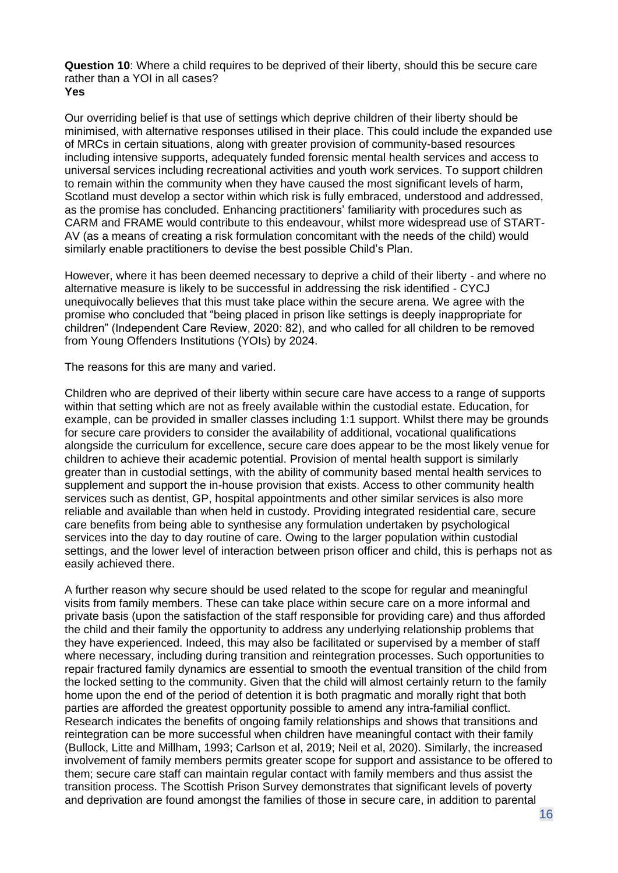**Question 10**: Where a child requires to be deprived of their liberty, should this be secure care rather than a YOI in all cases? **Yes**

Our overriding belief is that use of settings which deprive children of their liberty should be minimised, with alternative responses utilised in their place. This could include the expanded use of MRCs in certain situations, along with greater provision of community-based resources including intensive supports, adequately funded forensic mental health services and access to universal services including recreational activities and youth work services. To support children to remain within the community when they have caused the most significant levels of harm, Scotland must develop a sector within which risk is fully embraced, understood and addressed, as the promise has concluded. Enhancing practitioners' familiarity with procedures such as CARM and FRAME would contribute to this endeavour, whilst more widespread use of START-AV (as a means of creating a risk formulation concomitant with the needs of the child) would similarly enable practitioners to devise the best possible Child's Plan.

However, where it has been deemed necessary to deprive a child of their liberty - and where no alternative measure is likely to be successful in addressing the risk identified - CYCJ unequivocally believes that this must take place within the secure arena. We agree with the promise who concluded that "being placed in prison like settings is deeply inappropriate for children" (Independent Care Review, 2020: 82), and who called for all children to be removed from Young Offenders Institutions (YOIs) by 2024.

The reasons for this are many and varied.

Children who are deprived of their liberty within secure care have access to a range of supports within that setting which are not as freely available within the custodial estate. Education, for example, can be provided in smaller classes including 1:1 support. Whilst there may be grounds for secure care providers to consider the availability of additional, vocational qualifications alongside the curriculum for excellence, secure care does appear to be the most likely venue for children to achieve their academic potential. Provision of mental health support is similarly greater than in custodial settings, with the ability of community based mental health services to supplement and support the in-house provision that exists. Access to other community health services such as dentist, GP, hospital appointments and other similar services is also more reliable and available than when held in custody. Providing integrated residential care, secure care benefits from being able to synthesise any formulation undertaken by psychological services into the day to day routine of care. Owing to the larger population within custodial settings, and the lower level of interaction between prison officer and child, this is perhaps not as easily achieved there.

A further reason why secure should be used related to the scope for regular and meaningful visits from family members. These can take place within secure care on a more informal and private basis (upon the satisfaction of the staff responsible for providing care) and thus afforded the child and their family the opportunity to address any underlying relationship problems that they have experienced. Indeed, this may also be facilitated or supervised by a member of staff where necessary, including during transition and reintegration processes. Such opportunities to repair fractured family dynamics are essential to smooth the eventual transition of the child from the locked setting to the community. Given that the child will almost certainly return to the family home upon the end of the period of detention it is both pragmatic and morally right that both parties are afforded the greatest opportunity possible to amend any intra-familial conflict. Research indicates the benefits of ongoing family relationships and shows that transitions and reintegration can be more successful when children have meaningful contact with their family (Bullock, Litte and Millham, 1993; Carlson et al, 2019; Neil et al, 2020). Similarly, the increased involvement of family members permits greater scope for support and assistance to be offered to them; secure care staff can maintain regular contact with family members and thus assist the transition process. The Scottish Prison Survey demonstrates that significant levels of poverty and deprivation are found amongst the families of those in secure care, in addition to parental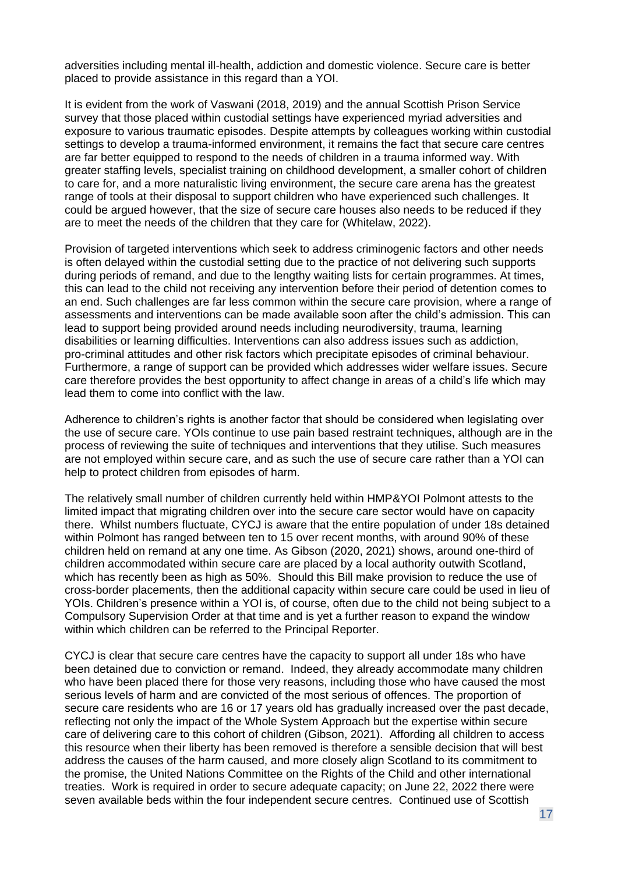adversities including mental ill-health, addiction and domestic violence. Secure care is better placed to provide assistance in this regard than a YOI.

It is evident from the work of Vaswani (2018, 2019) and the annual Scottish Prison Service survey that those placed within custodial settings have experienced myriad adversities and exposure to various traumatic episodes. Despite attempts by colleagues working within custodial settings to develop a trauma-informed environment, it remains the fact that secure care centres are far better equipped to respond to the needs of children in a trauma informed way. With greater staffing levels, specialist training on childhood development, a smaller cohort of children to care for, and a more naturalistic living environment, the secure care arena has the greatest range of tools at their disposal to support children who have experienced such challenges. It could be argued however, that the size of secure care houses also needs to be reduced if they are to meet the needs of the children that they care for (Whitelaw, 2022).

Provision of targeted interventions which seek to address criminogenic factors and other needs is often delayed within the custodial setting due to the practice of not delivering such supports during periods of remand, and due to the lengthy waiting lists for certain programmes. At times, this can lead to the child not receiving any intervention before their period of detention comes to an end. Such challenges are far less common within the secure care provision, where a range of assessments and interventions can be made available soon after the child's admission. This can lead to support being provided around needs including neurodiversity, trauma, learning disabilities or learning difficulties. Interventions can also address issues such as addiction, pro-criminal attitudes and other risk factors which precipitate episodes of criminal behaviour. Furthermore, a range of support can be provided which addresses wider welfare issues. Secure care therefore provides the best opportunity to affect change in areas of a child's life which may lead them to come into conflict with the law.

Adherence to children's rights is another factor that should be considered when legislating over the use of secure care. YOIs continue to use pain based restraint techniques, although are in the process of reviewing the suite of techniques and interventions that they utilise. Such measures are not employed within secure care, and as such the use of secure care rather than a YOI can help to protect children from episodes of harm.

The relatively small number of children currently held within HMP&YOI Polmont attests to the limited impact that migrating children over into the secure care sector would have on capacity there. Whilst numbers fluctuate, CYCJ is aware that the entire population of under 18s detained within Polmont has ranged between ten to 15 over recent months, with around 90% of these children held on remand at any one time. As Gibson (2020, 2021) shows, around one-third of children accommodated within secure care are placed by a local authority outwith Scotland, which has recently been as high as 50%. Should this Bill make provision to reduce the use of cross-border placements, then the additional capacity within secure care could be used in lieu of YOIs. Children's presence within a YOI is, of course, often due to the child not being subject to a Compulsory Supervision Order at that time and is yet a further reason to expand the window within which children can be referred to the Principal Reporter.

CYCJ is clear that secure care centres have the capacity to support all under 18s who have been detained due to conviction or remand. Indeed, they already accommodate many children who have been placed there for those very reasons, including those who have caused the most serious levels of harm and are convicted of the most serious of offences. The proportion of secure care residents who are 16 or 17 years old has gradually increased over the past decade, reflecting not only the impact of the Whole System Approach but the expertise within secure care of delivering care to this cohort of children (Gibson, 2021). Affording all children to access this resource when their liberty has been removed is therefore a sensible decision that will best address the causes of the harm caused, and more closely align Scotland to its commitment to the promise*,* the United Nations Committee on the Rights of the Child and other international treaties. Work is required in order to secure adequate capacity; on June 22, 2022 there were seven available beds within the four independent secure centres. Continued use of Scottish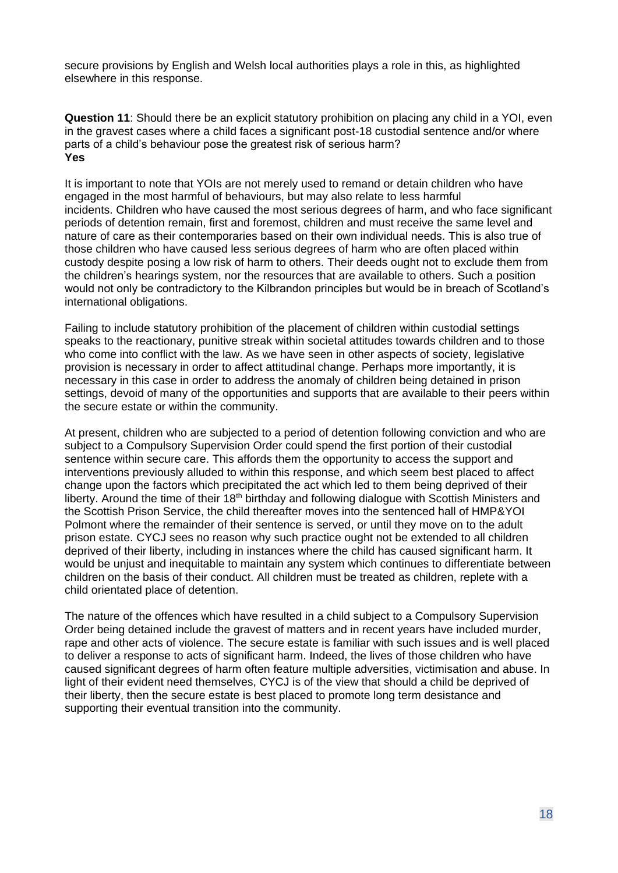secure provisions by English and Welsh local authorities plays a role in this, as highlighted elsewhere in this response.

**Question 11**: Should there be an explicit statutory prohibition on placing any child in a YOI, even in the gravest cases where a child faces a significant post-18 custodial sentence and/or where parts of a child's behaviour pose the greatest risk of serious harm? **Yes**

It is important to note that YOIs are not merely used to remand or detain children who have engaged in the most harmful of behaviours, but may also relate to less harmful incidents. Children who have caused the most serious degrees of harm, and who face significant periods of detention remain, first and foremost, children and must receive the same level and nature of care as their contemporaries based on their own individual needs. This is also true of those children who have caused less serious degrees of harm who are often placed within custody despite posing a low risk of harm to others. Their deeds ought not to exclude them from the children's hearings system, nor the resources that are available to others. Such a position would not only be contradictory to the Kilbrandon principles but would be in breach of Scotland's international obligations.

Failing to include statutory prohibition of the placement of children within custodial settings speaks to the reactionary, punitive streak within societal attitudes towards children and to those who come into conflict with the law. As we have seen in other aspects of society, legislative provision is necessary in order to affect attitudinal change. Perhaps more importantly, it is necessary in this case in order to address the anomaly of children being detained in prison settings, devoid of many of the opportunities and supports that are available to their peers within the secure estate or within the community.

At present, children who are subjected to a period of detention following conviction and who are subject to a Compulsory Supervision Order could spend the first portion of their custodial sentence within secure care. This affords them the opportunity to access the support and interventions previously alluded to within this response, and which seem best placed to affect change upon the factors which precipitated the act which led to them being deprived of their liberty. Around the time of their 18<sup>th</sup> birthday and following dialogue with Scottish Ministers and the Scottish Prison Service, the child thereafter moves into the sentenced hall of HMP&YOI Polmont where the remainder of their sentence is served, or until they move on to the adult prison estate. CYCJ sees no reason why such practice ought not be extended to all children deprived of their liberty, including in instances where the child has caused significant harm. It would be unjust and inequitable to maintain any system which continues to differentiate between children on the basis of their conduct. All children must be treated as children, replete with a child orientated place of detention.

The nature of the offences which have resulted in a child subject to a Compulsory Supervision Order being detained include the gravest of matters and in recent years have included murder, rape and other acts of violence. The secure estate is familiar with such issues and is well placed to deliver a response to acts of significant harm. Indeed, the lives of those children who have caused significant degrees of harm often feature multiple adversities, victimisation and abuse. In light of their evident need themselves, CYCJ is of the view that should a child be deprived of their liberty, then the secure estate is best placed to promote long term desistance and supporting their eventual transition into the community.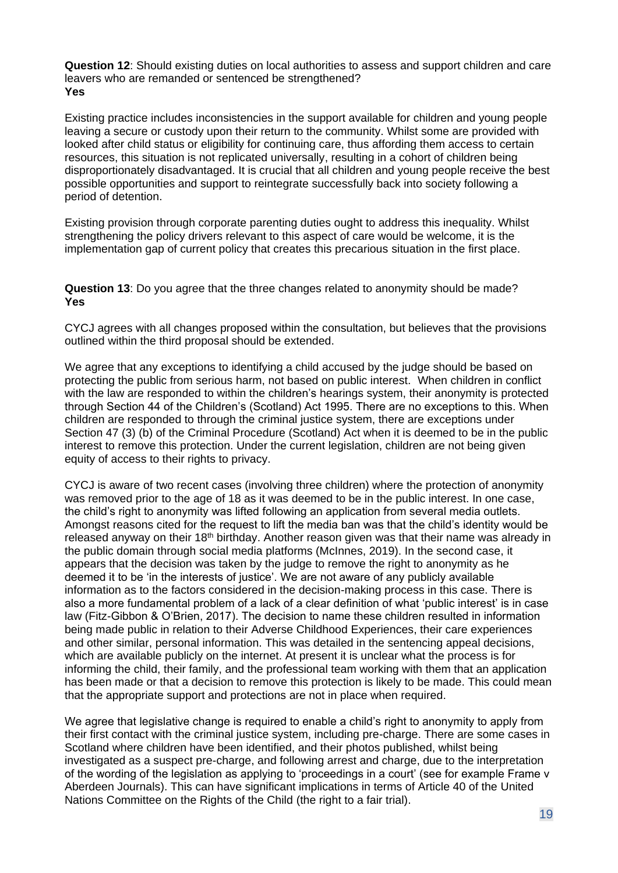**Question 12**: Should existing duties on local authorities to assess and support children and care leavers who are remanded or sentenced be strengthened? **Yes**

Existing practice includes inconsistencies in the support available for children and young people leaving a secure or custody upon their return to the community. Whilst some are provided with looked after child status or eligibility for continuing care, thus affording them access to certain resources, this situation is not replicated universally, resulting in a cohort of children being disproportionately disadvantaged. It is crucial that all children and young people receive the best possible opportunities and support to reintegrate successfully back into society following a period of detention.

Existing provision through corporate parenting duties ought to address this inequality. Whilst strengthening the policy drivers relevant to this aspect of care would be welcome, it is the implementation gap of current policy that creates this precarious situation in the first place.

**Question 13**: Do you agree that the three changes related to anonymity should be made? **Yes**

CYCJ agrees with all changes proposed within the consultation, but believes that the provisions outlined within the third proposal should be extended.

We agree that any exceptions to identifying a child accused by the judge should be based on protecting the public from serious harm, not based on public interest. When children in conflict with the law are responded to within the children's hearings system, their anonymity is protected through Section 44 of the Children's (Scotland) Act 1995. There are no exceptions to this. When children are responded to through the criminal justice system, there are exceptions under Section 47 (3) (b) of the Criminal Procedure (Scotland) Act when it is deemed to be in the public interest to remove this protection. Under the current legislation, children are not being given equity of access to their rights to privacy.

CYCJ is aware of two recent cases (involving three children) where the protection of anonymity was removed prior to the age of 18 as it was deemed to be in the public interest. In one case, the child's right to anonymity was lifted following an application from several media outlets. Amongst reasons cited for the request to lift the media ban was that the child's identity would be released anyway on their 18<sup>th</sup> birthday. Another reason given was that their name was already in the public domain through social media platforms (McInnes, 2019). In the second case, it appears that the decision was taken by the judge to remove the right to anonymity as he deemed it to be 'in the interests of justice'. We are not aware of any publicly available information as to the factors considered in the decision-making process in this case. There is also a more fundamental problem of a lack of a clear definition of what 'public interest' is in case law (Fitz-Gibbon & O'Brien, 2017). The decision to name these children resulted in information being made public in relation to their Adverse Childhood Experiences, their care experiences and other similar, personal information. This was detailed in the sentencing appeal decisions, which are available publicly on the internet. At present it is unclear what the process is for informing the child, their family, and the professional team working with them that an application has been made or that a decision to remove this protection is likely to be made. This could mean that the appropriate support and protections are not in place when required.

We agree that legislative change is required to enable a child's right to anonymity to apply from their first contact with the criminal justice system, including pre-charge. There are some cases in Scotland where children have been identified, and their photos published, whilst being investigated as a suspect pre-charge, and following arrest and charge, due to the interpretation of the wording of the legislation as applying to 'proceedings in a court' (see for example Frame v Aberdeen Journals). This can have significant implications in terms of Article 40 of the United Nations Committee on the Rights of the Child (the right to a fair trial).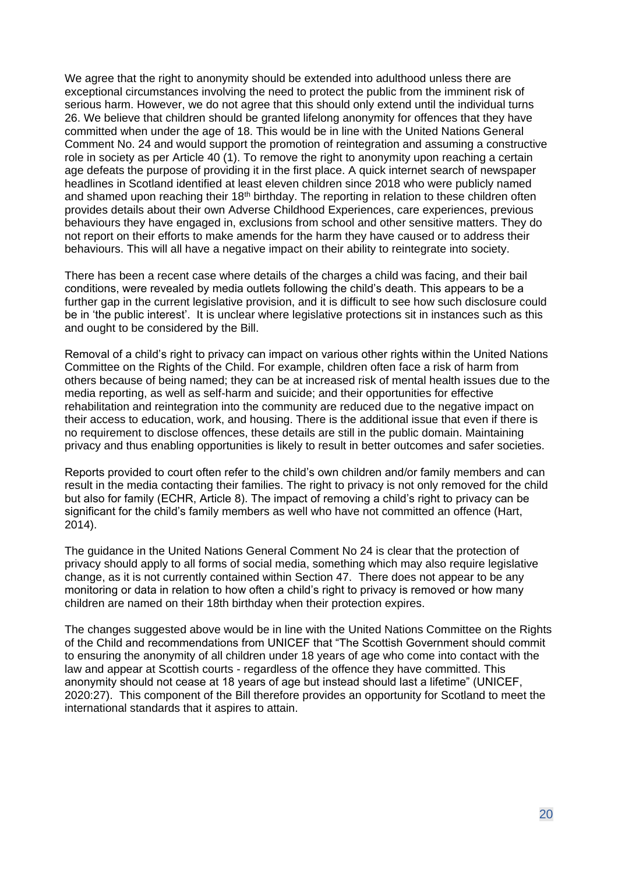We agree that the right to anonymity should be extended into adulthood unless there are exceptional circumstances involving the need to protect the public from the imminent risk of serious harm. However, we do not agree that this should only extend until the individual turns 26. We believe that children should be granted lifelong anonymity for offences that they have committed when under the age of 18. This would be in line with the United Nations General Comment No. 24 and would support the promotion of reintegration and assuming a constructive role in society as per Article 40 (1). To remove the right to anonymity upon reaching a certain age defeats the purpose of providing it in the first place. A quick internet search of newspaper headlines in Scotland identified at least eleven children since 2018 who were publicly named and shamed upon reaching their 18<sup>th</sup> birthday. The reporting in relation to these children often provides details about their own Adverse Childhood Experiences, care experiences, previous behaviours they have engaged in, exclusions from school and other sensitive matters. They do not report on their efforts to make amends for the harm they have caused or to address their behaviours. This will all have a negative impact on their ability to reintegrate into society.

There has been a recent case where details of the charges a child was facing, and their bail conditions, were revealed by media outlets following the child's death. This appears to be a further gap in the current legislative provision, and it is difficult to see how such disclosure could be in 'the public interest'. It is unclear where legislative protections sit in instances such as this and ought to be considered by the Bill.

Removal of a child's right to privacy can impact on various other rights within the United Nations Committee on the Rights of the Child. For example, children often face a risk of harm from others because of being named; they can be at increased risk of mental health issues due to the media reporting, as well as self-harm and suicide; and their opportunities for effective rehabilitation and reintegration into the community are reduced due to the negative impact on their access to education, work, and housing. There is the additional issue that even if there is no requirement to disclose offences, these details are still in the public domain. Maintaining privacy and thus enabling opportunities is likely to result in better outcomes and safer societies.

Reports provided to court often refer to the child's own children and/or family members and can result in the media contacting their families. The right to privacy is not only removed for the child but also for family (ECHR, Article 8). The impact of removing a child's right to privacy can be significant for the child's family members as well who have not committed an offence (Hart, 2014).

The guidance in the United Nations General Comment No 24 is clear that the protection of privacy should apply to all forms of social media, something which may also require legislative change, as it is not currently contained within Section 47. There does not appear to be any monitoring or data in relation to how often a child's right to privacy is removed or how many children are named on their 18th birthday when their protection expires.

The changes suggested above would be in line with the United Nations Committee on the Rights of the Child and recommendations from UNICEF that "The Scottish Government should commit to ensuring the anonymity of all children under 18 years of age who come into contact with the law and appear at Scottish courts - regardless of the offence they have committed. This anonymity should not cease at 18 years of age but instead should last a lifetime" (UNICEF, 2020:27). This component of the Bill therefore provides an opportunity for Scotland to meet the international standards that it aspires to attain.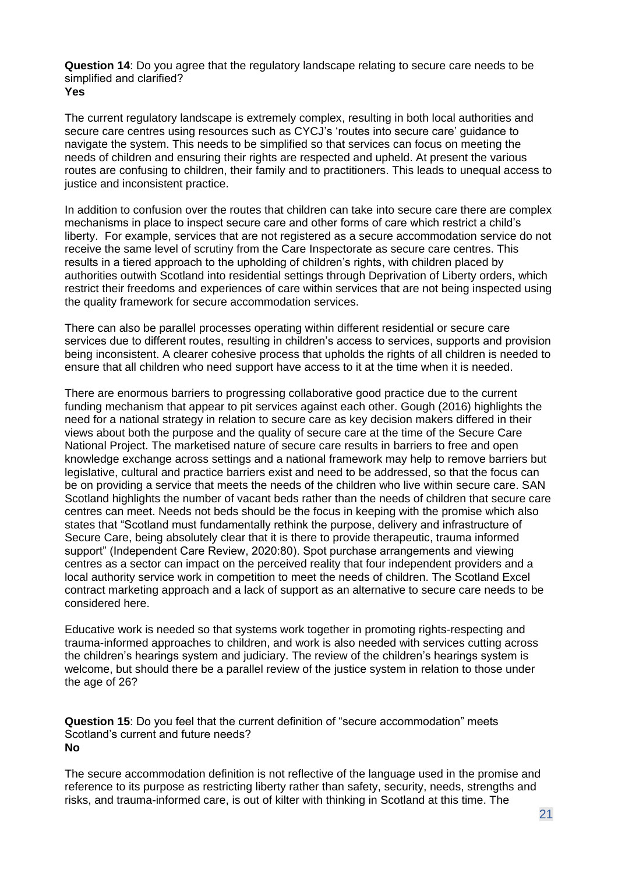**Question 14**: Do you agree that the regulatory landscape relating to secure care needs to be simplified and clarified? **Yes**

The current regulatory landscape is extremely complex, resulting in both local authorities and secure care centres using resources such as CYCJ's 'routes into secure care' guidance to navigate the system. This needs to be simplified so that services can focus on meeting the needs of children and ensuring their rights are respected and upheld. At present the various routes are confusing to children, their family and to practitioners. This leads to unequal access to justice and inconsistent practice.

In addition to confusion over the routes that children can take into secure care there are complex mechanisms in place to inspect secure care and other forms of care which restrict a child's liberty. For example, services that are not registered as a secure accommodation service do not receive the same level of scrutiny from the Care Inspectorate as secure care centres. This results in a tiered approach to the upholding of children's rights, with children placed by authorities outwith Scotland into residential settings through Deprivation of Liberty orders, which restrict their freedoms and experiences of care within services that are not being inspected using the quality framework for secure accommodation services.

There can also be parallel processes operating within different residential or secure care services due to different routes, resulting in children's access to services, supports and provision being inconsistent. A clearer cohesive process that upholds the rights of all children is needed to ensure that all children who need support have access to it at the time when it is needed.

There are enormous barriers to progressing collaborative good practice due to the current funding mechanism that appear to pit services against each other. Gough (2016) highlights the need for a national strategy in relation to secure care as key decision makers differed in their views about both the purpose and the quality of secure care at the time of the Secure Care National Project. The marketised nature of secure care results in barriers to free and open knowledge exchange across settings and a national framework may help to remove barriers but legislative, cultural and practice barriers exist and need to be addressed, so that the focus can be on providing a service that meets the needs of the children who live within secure care. SAN Scotland highlights the number of vacant beds rather than the needs of children that secure care centres can meet. Needs not beds should be the focus in keeping with the promise which also states that "Scotland must fundamentally rethink the purpose, delivery and infrastructure of Secure Care, being absolutely clear that it is there to provide therapeutic, trauma informed support" (Independent Care Review, 2020:80). Spot purchase arrangements and viewing centres as a sector can impact on the perceived reality that four independent providers and a local authority service work in competition to meet the needs of children. The Scotland Excel contract marketing approach and a lack of support as an alternative to secure care needs to be considered here.

Educative work is needed so that systems work together in promoting rights-respecting and trauma-informed approaches to children, and work is also needed with services cutting across the children's hearings system and judiciary. The review of the children's hearings system is welcome, but should there be a parallel review of the justice system in relation to those under the age of 26?

**Question 15**: Do you feel that the current definition of "secure accommodation" meets Scotland's current and future needs?  **No**

The secure accommodation definition is not reflective of the language used in the promise and reference to its purpose as restricting liberty rather than safety, security, needs, strengths and risks, and trauma-informed care, is out of kilter with thinking in Scotland at this time. The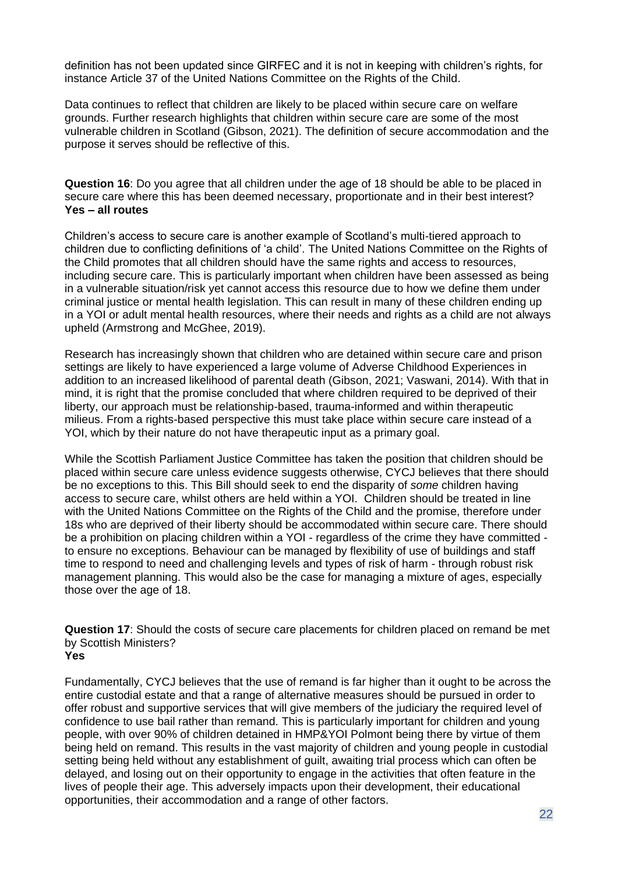definition has not been updated since GIRFEC and it is not in keeping with children's rights, for instance Article 37 of the United Nations Committee on the Rights of the Child.

Data continues to reflect that children are likely to be placed within secure care on welfare grounds. Further research highlights that children within secure care are some of the most vulnerable children in Scotland (Gibson, 2021). The definition of secure accommodation and the purpose it serves should be reflective of this.

**Question 16**: Do you agree that all children under the age of 18 should be able to be placed in secure care where this has been deemed necessary, proportionate and in their best interest? **Yes – all routes**

Children's access to secure care is another example of Scotland's multi-tiered approach to children due to conflicting definitions of 'a child'. The United Nations Committee on the Rights of the Child promotes that all children should have the same rights and access to resources, including secure care. This is particularly important when children have been assessed as being in a vulnerable situation/risk yet cannot access this resource due to how we define them under criminal justice or mental health legislation. This can result in many of these children ending up in a YOI or adult mental health resources, where their needs and rights as a child are not always upheld (Armstrong and McGhee, 2019).

Research has increasingly shown that children who are detained within secure care and prison settings are likely to have experienced a large volume of Adverse Childhood Experiences in addition to an increased likelihood of parental death (Gibson, 2021; Vaswani, 2014). With that in mind, it is right that the promise concluded that where children required to be deprived of their liberty, our approach must be relationship-based, trauma-informed and within therapeutic milieus. From a rights-based perspective this must take place within secure care instead of a YOI, which by their nature do not have therapeutic input as a primary goal.

While the Scottish Parliament Justice Committee has taken the position that children should be placed within secure care unless evidence suggests otherwise, CYCJ believes that there should be no exceptions to this. This Bill should seek to end the disparity of *some* children having access to secure care, whilst others are held within a YOI. Children should be treated in line with the United Nations Committee on the Rights of the Child and the promise, therefore under 18s who are deprived of their liberty should be accommodated within secure care. There should be a prohibition on placing children within a YOI - regardless of the crime they have committed to ensure no exceptions. Behaviour can be managed by flexibility of use of buildings and staff time to respond to need and challenging levels and types of risk of harm - through robust risk management planning. This would also be the case for managing a mixture of ages, especially those over the age of 18.

**Question 17**: Should the costs of secure care placements for children placed on remand be met by Scottish Ministers? **Yes**

Fundamentally, CYCJ believes that the use of remand is far higher than it ought to be across the entire custodial estate and that a range of alternative measures should be pursued in order to offer robust and supportive services that will give members of the judiciary the required level of confidence to use bail rather than remand. This is particularly important for children and young people, with over 90% of children detained in HMP&YOI Polmont being there by virtue of them being held on remand. This results in the vast majority of children and young people in custodial setting being held without any establishment of guilt, awaiting trial process which can often be delayed, and losing out on their opportunity to engage in the activities that often feature in the lives of people their age. This adversely impacts upon their development, their educational opportunities, their accommodation and a range of other factors.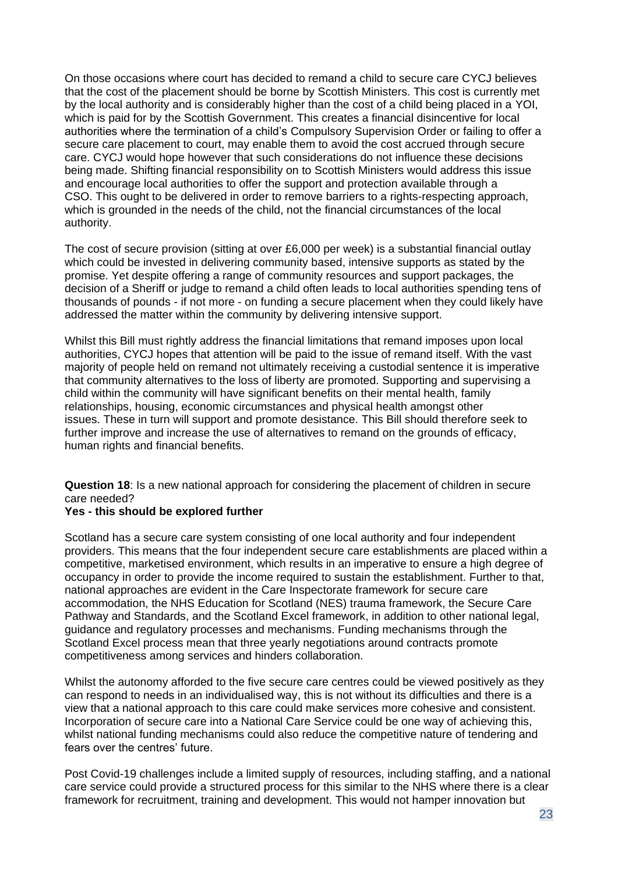On those occasions where court has decided to remand a child to secure care CYCJ believes that the cost of the placement should be borne by Scottish Ministers. This cost is currently met by the local authority and is considerably higher than the cost of a child being placed in a YOI, which is paid for by the Scottish Government. This creates a financial disincentive for local authorities where the termination of a child's Compulsory Supervision Order or failing to offer a secure care placement to court, may enable them to avoid the cost accrued through secure care. CYCJ would hope however that such considerations do not influence these decisions being made. Shifting financial responsibility on to Scottish Ministers would address this issue and encourage local authorities to offer the support and protection available through a CSO. This ought to be delivered in order to remove barriers to a rights-respecting approach, which is grounded in the needs of the child, not the financial circumstances of the local authority.

The cost of secure provision (sitting at over £6,000 per week) is a substantial financial outlay which could be invested in delivering community based, intensive supports as stated by the promise. Yet despite offering a range of community resources and support packages, the decision of a Sheriff or judge to remand a child often leads to local authorities spending tens of thousands of pounds - if not more - on funding a secure placement when they could likely have addressed the matter within the community by delivering intensive support.

Whilst this Bill must rightly address the financial limitations that remand imposes upon local authorities, CYCJ hopes that attention will be paid to the issue of remand itself. With the vast majority of people held on remand not ultimately receiving a custodial sentence it is imperative that community alternatives to the loss of liberty are promoted. Supporting and supervising a child within the community will have significant benefits on their mental health, family relationships, housing, economic circumstances and physical health amongst other issues. These in turn will support and promote desistance. This Bill should therefore seek to further improve and increase the use of alternatives to remand on the grounds of efficacy, human rights and financial benefits.

**Question 18**: Is a new national approach for considering the placement of children in secure care needed?

#### **Yes - this should be explored further**

Scotland has a secure care system consisting of one local authority and four independent providers. This means that the four independent secure care establishments are placed within a competitive, marketised environment, which results in an imperative to ensure a high degree of occupancy in order to provide the income required to sustain the establishment. Further to that, national approaches are evident in the Care Inspectorate framework for secure care accommodation, the NHS Education for Scotland (NES) trauma framework, the Secure Care Pathway and Standards, and the Scotland Excel framework, in addition to other national legal, guidance and regulatory processes and mechanisms. Funding mechanisms through the Scotland Excel process mean that three yearly negotiations around contracts promote competitiveness among services and hinders collaboration.

Whilst the autonomy afforded to the five secure care centres could be viewed positively as they can respond to needs in an individualised way, this is not without its difficulties and there is a view that a national approach to this care could make services more cohesive and consistent. Incorporation of secure care into a National Care Service could be one way of achieving this, whilst national funding mechanisms could also reduce the competitive nature of tendering and fears over the centres' future.

Post Covid-19 challenges include a limited supply of resources, including staffing, and a national care service could provide a structured process for this similar to the NHS where there is a clear framework for recruitment, training and development. This would not hamper innovation but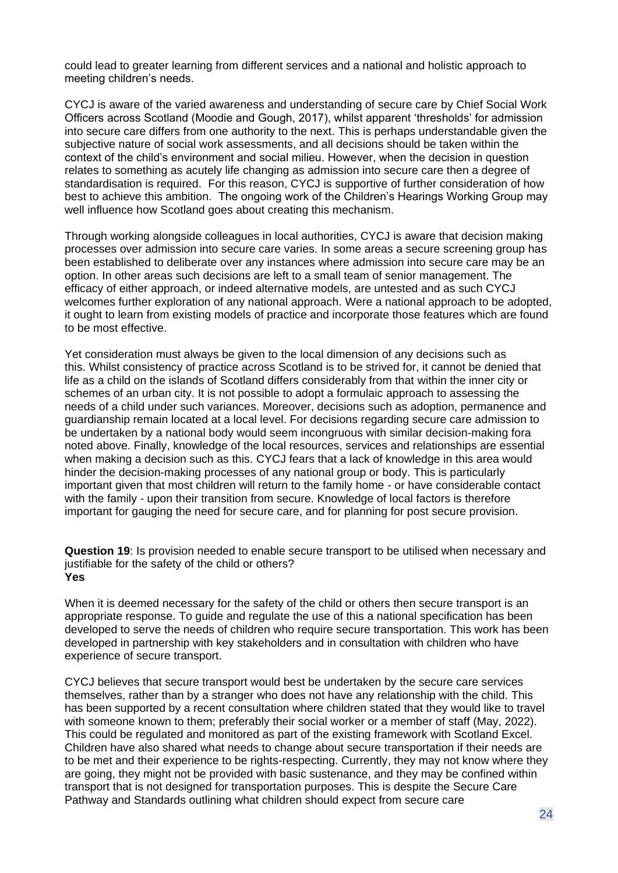could lead to greater learning from different services and a national and holistic approach to meeting children's needs.

CYCJ is aware of the varied awareness and understanding of secure care by Chief Social Work Officers across Scotland (Moodie and Gough, 2017), whilst apparent 'thresholds' for admission into secure care differs from one authority to the next. This is perhaps understandable given the subjective nature of social work assessments, and all decisions should be taken within the context of the child's environment and social milieu. However, when the decision in question relates to something as acutely life changing as admission into secure care then a degree of standardisation is required. For this reason, CYCJ is supportive of further consideration of how best to achieve this ambition. The ongoing work of the Children's Hearings Working Group may well influence how Scotland goes about creating this mechanism.

Through working alongside colleagues in local authorities, CYCJ is aware that decision making processes over admission into secure care varies. In some areas a secure screening group has been established to deliberate over any instances where admission into secure care may be an option. In other areas such decisions are left to a small team of senior management. The efficacy of either approach, or indeed alternative models, are untested and as such CYCJ welcomes further exploration of any national approach. Were a national approach to be adopted, it ought to learn from existing models of practice and incorporate those features which are found to be most effective.

Yet consideration must always be given to the local dimension of any decisions such as this. Whilst consistency of practice across Scotland is to be strived for, it cannot be denied that life as a child on the islands of Scotland differs considerably from that within the inner city or schemes of an urban city. It is not possible to adopt a formulaic approach to assessing the needs of a child under such variances. Moreover, decisions such as adoption, permanence and guardianship remain located at a local level. For decisions regarding secure care admission to be undertaken by a national body would seem incongruous with similar decision-making fora noted above. Finally, knowledge of the local resources, services and relationships are essential when making a decision such as this. CYCJ fears that a lack of knowledge in this area would hinder the decision-making processes of any national group or body. This is particularly important given that most children will return to the family home - or have considerable contact with the family - upon their transition from secure. Knowledge of local factors is therefore important for gauging the need for secure care, and for planning for post secure provision.

**Question 19**: Is provision needed to enable secure transport to be utilised when necessary and justifiable for the safety of the child or others? **Yes**

When it is deemed necessary for the safety of the child or others then secure transport is an appropriate response. To guide and regulate the use of this a national specification has been developed to serve the needs of children who require secure transportation. This work has been developed in partnership with key stakeholders and in consultation with children who have experience of secure transport.

CYCJ believes that secure transport would best be undertaken by the secure care services themselves, rather than by a stranger who does not have any relationship with the child. This has been supported by a recent consultation where children stated that they would like to travel with someone known to them; preferably their social worker or a member of staff (May, 2022). This could be regulated and monitored as part of the existing framework with Scotland Excel. Children have also shared what needs to change about secure transportation if their needs are to be met and their experience to be rights-respecting. Currently, they may not know where they are going, they might not be provided with basic sustenance, and they may be confined within transport that is not designed for transportation purposes. This is despite the Secure Care Pathway and Standards outlining what children should expect from secure care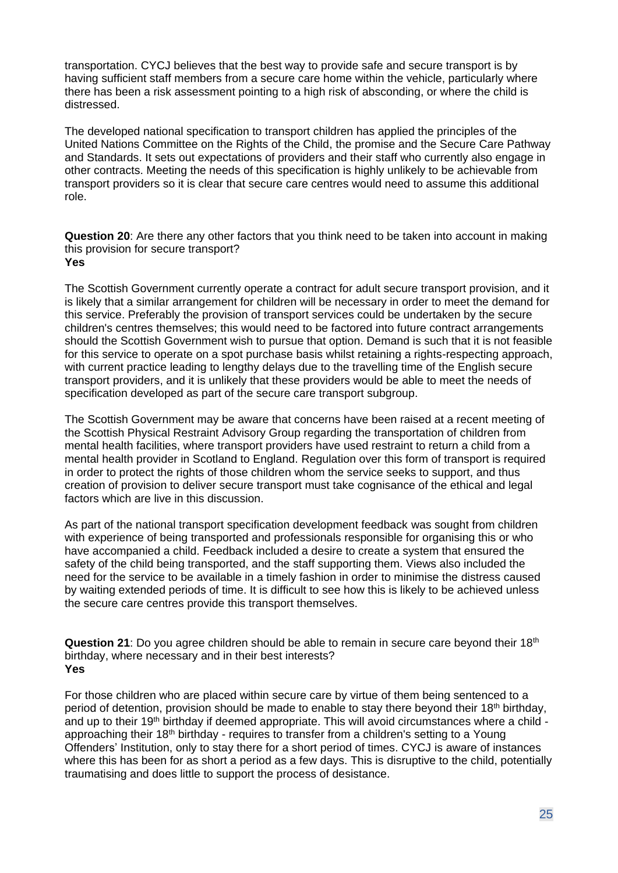transportation. CYCJ believes that the best way to provide safe and secure transport is by having sufficient staff members from a secure care home within the vehicle, particularly where there has been a risk assessment pointing to a high risk of absconding, or where the child is distressed.

The developed national specification to transport children has applied the principles of the United Nations Committee on the Rights of the Child, the promise and the Secure Care Pathway and Standards. It sets out expectations of providers and their staff who currently also engage in other contracts. Meeting the needs of this specification is highly unlikely to be achievable from transport providers so it is clear that secure care centres would need to assume this additional role.

**Question 20**: Are there any other factors that you think need to be taken into account in making this provision for secure transport? **Yes**

The Scottish Government currently operate a contract for adult secure transport provision, and it is likely that a similar arrangement for children will be necessary in order to meet the demand for this service. Preferably the provision of transport services could be undertaken by the secure children's centres themselves; this would need to be factored into future contract arrangements should the Scottish Government wish to pursue that option. Demand is such that it is not feasible for this service to operate on a spot purchase basis whilst retaining a rights-respecting approach, with current practice leading to lengthy delays due to the travelling time of the English secure transport providers, and it is unlikely that these providers would be able to meet the needs of specification developed as part of the secure care transport subgroup.

The Scottish Government may be aware that concerns have been raised at a recent meeting of the Scottish Physical Restraint Advisory Group regarding the transportation of children from mental health facilities, where transport providers have used restraint to return a child from a mental health provider in Scotland to England. Regulation over this form of transport is required in order to protect the rights of those children whom the service seeks to support, and thus creation of provision to deliver secure transport must take cognisance of the ethical and legal factors which are live in this discussion.

As part of the national transport specification development feedback was sought from children with experience of being transported and professionals responsible for organising this or who have accompanied a child. Feedback included a desire to create a system that ensured the safety of the child being transported, and the staff supporting them. Views also included the need for the service to be available in a timely fashion in order to minimise the distress caused by waiting extended periods of time. It is difficult to see how this is likely to be achieved unless the secure care centres provide this transport themselves.

**Question 21**: Do you agree children should be able to remain in secure care beyond their 18th birthday, where necessary and in their best interests? **Yes**

For those children who are placed within secure care by virtue of them being sentenced to a period of detention, provision should be made to enable to stay there beyond their 18<sup>th</sup> birthday, and up to their 19<sup>th</sup> birthday if deemed appropriate. This will avoid circumstances where a child approaching their 18<sup>th</sup> birthday - requires to transfer from a children's setting to a Young Offenders' Institution, only to stay there for a short period of times. CYCJ is aware of instances where this has been for as short a period as a few days. This is disruptive to the child, potentially traumatising and does little to support the process of desistance.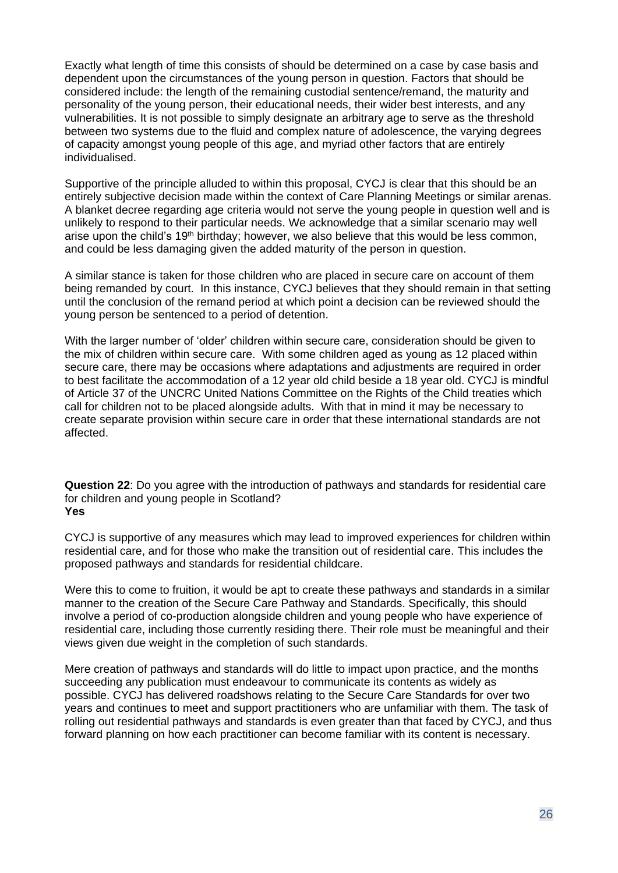Exactly what length of time this consists of should be determined on a case by case basis and dependent upon the circumstances of the young person in question. Factors that should be considered include: the length of the remaining custodial sentence/remand, the maturity and personality of the young person, their educational needs, their wider best interests, and any vulnerabilities. It is not possible to simply designate an arbitrary age to serve as the threshold between two systems due to the fluid and complex nature of adolescence, the varying degrees of capacity amongst young people of this age, and myriad other factors that are entirely individualised.

Supportive of the principle alluded to within this proposal, CYCJ is clear that this should be an entirely subjective decision made within the context of Care Planning Meetings or similar arenas. A blanket decree regarding age criteria would not serve the young people in question well and is unlikely to respond to their particular needs. We acknowledge that a similar scenario may well arise upon the child's 19<sup>th</sup> birthday; however, we also believe that this would be less common, and could be less damaging given the added maturity of the person in question.

A similar stance is taken for those children who are placed in secure care on account of them being remanded by court. In this instance, CYCJ believes that they should remain in that setting until the conclusion of the remand period at which point a decision can be reviewed should the young person be sentenced to a period of detention.

With the larger number of 'older' children within secure care, consideration should be given to the mix of children within secure care. With some children aged as young as 12 placed within secure care, there may be occasions where adaptations and adjustments are required in order to best facilitate the accommodation of a 12 year old child beside a 18 year old. CYCJ is mindful of Article 37 of the UNCRC United Nations Committee on the Rights of the Child treaties which call for children not to be placed alongside adults. With that in mind it may be necessary to create separate provision within secure care in order that these international standards are not affected.

**Question 22**: Do you agree with the introduction of pathways and standards for residential care for children and young people in Scotland? **Yes**

CYCJ is supportive of any measures which may lead to improved experiences for children within residential care, and for those who make the transition out of residential care. This includes the proposed pathways and standards for residential childcare.

Were this to come to fruition, it would be apt to create these pathways and standards in a similar manner to the creation of the Secure Care Pathway and Standards. Specifically, this should involve a period of co-production alongside children and young people who have experience of residential care, including those currently residing there. Their role must be meaningful and their views given due weight in the completion of such standards.

Mere creation of pathways and standards will do little to impact upon practice, and the months succeeding any publication must endeavour to communicate its contents as widely as possible. CYCJ has delivered roadshows relating to the Secure Care Standards for over two years and continues to meet and support practitioners who are unfamiliar with them. The task of rolling out residential pathways and standards is even greater than that faced by CYCJ, and thus forward planning on how each practitioner can become familiar with its content is necessary.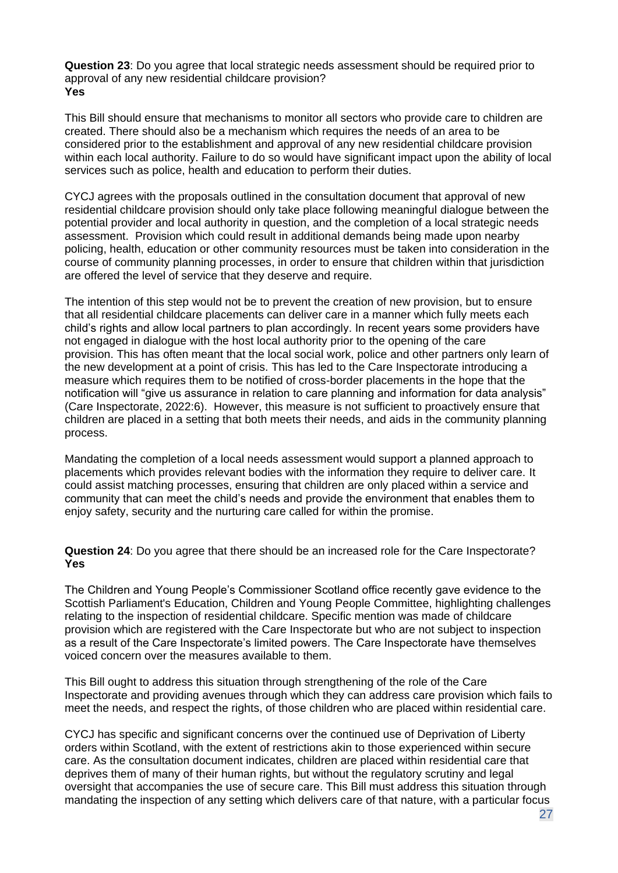**Question 23**: Do you agree that local strategic needs assessment should be required prior to approval of any new residential childcare provision? **Yes**

This Bill should ensure that mechanisms to monitor all sectors who provide care to children are created. There should also be a mechanism which requires the needs of an area to be considered prior to the establishment and approval of any new residential childcare provision within each local authority. Failure to do so would have significant impact upon the ability of local services such as police, health and education to perform their duties.

CYCJ agrees with the proposals outlined in the consultation document that approval of new residential childcare provision should only take place following meaningful dialogue between the potential provider and local authority in question, and the completion of a local strategic needs assessment. Provision which could result in additional demands being made upon nearby policing, health, education or other community resources must be taken into consideration in the course of community planning processes, in order to ensure that children within that jurisdiction are offered the level of service that they deserve and require.

The intention of this step would not be to prevent the creation of new provision, but to ensure that all residential childcare placements can deliver care in a manner which fully meets each child's rights and allow local partners to plan accordingly. In recent years some providers have not engaged in dialogue with the host local authority prior to the opening of the care provision. This has often meant that the local social work, police and other partners only learn of the new development at a point of crisis. This has led to the Care Inspectorate introducing a measure which requires them to be notified of cross-border placements in the hope that the notification will "give us assurance in relation to care planning and information for data analysis" (Care Inspectorate, 2022:6). However, this measure is not sufficient to proactively ensure that children are placed in a setting that both meets their needs, and aids in the community planning process.

Mandating the completion of a local needs assessment would support a planned approach to placements which provides relevant bodies with the information they require to deliver care. It could assist matching processes, ensuring that children are only placed within a service and community that can meet the child's needs and provide the environment that enables them to enjoy safety, security and the nurturing care called for within the promise.

**Question 24**: Do you agree that there should be an increased role for the Care Inspectorate? **Yes**

The Children and Young People's Commissioner Scotland office recently gave evidence to the Scottish Parliament's Education, Children and Young People Committee, highlighting challenges relating to the inspection of residential childcare. Specific mention was made of childcare provision which are registered with the Care Inspectorate but who are not subject to inspection as a result of the Care Inspectorate's limited powers. The Care Inspectorate have themselves voiced concern over the measures available to them.

This Bill ought to address this situation through strengthening of the role of the Care Inspectorate and providing avenues through which they can address care provision which fails to meet the needs, and respect the rights, of those children who are placed within residential care.

CYCJ has specific and significant concerns over the continued use of Deprivation of Liberty orders within Scotland, with the extent of restrictions akin to those experienced within secure care. As the consultation document indicates, children are placed within residential care that deprives them of many of their human rights, but without the regulatory scrutiny and legal oversight that accompanies the use of secure care. This Bill must address this situation through mandating the inspection of any setting which delivers care of that nature, with a particular focus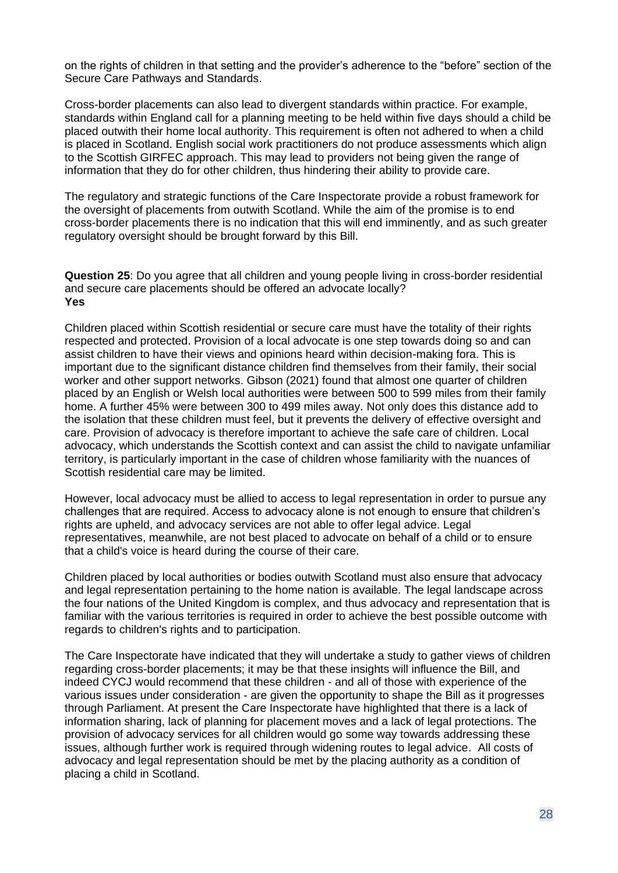on the rights of children in that setting and the provider's adherence to the "before" section of the Secure Care Pathways and Standards.

Cross-border placements can also lead to divergent standards within practice. For example, standards within England call for a planning meeting to be held within five days should a child be placed outwith their home local authority. This requirement is often not adhered to when a child is placed in Scotland. English social work practitioners do not produce assessments which align to the Scottish GIRFEC approach. This may lead to providers not being given the range of information that they do for other children, thus hindering their ability to provide care.

The regulatory and strategic functions of the Care Inspectorate provide a robust framework for the oversight of placements from outwith Scotland. While the aim of the promise is to end cross-border placements there is no indication that this will end imminently, and as such greater regulatory oversight should be brought forward by this Bill.

**Question 25**: Do you agree that all children and young people living in cross-border residential and secure care placements should be offered an advocate locally? **Yes**

Children placed within Scottish residential or secure care must have the totality of their rights respected and protected. Provision of a local advocate is one step towards doing so and can assist children to have their views and opinions heard within decision-making fora. This is important due to the significant distance children find themselves from their family, their social worker and other support networks. Gibson (2021) found that almost one quarter of children placed by an English or Welsh local authorities were between 500 to 599 miles from their family home. A further 45% were between 300 to 499 miles away. Not only does this distance add to the isolation that these children must feel, but it prevents the delivery of effective oversight and care. Provision of advocacy is therefore important to achieve the safe care of children. Local advocacy, which understands the Scottish context and can assist the child to navigate unfamiliar territory, is particularly important in the case of children whose familiarity with the nuances of Scottish residential care may be limited.

However, local advocacy must be allied to access to legal representation in order to pursue any challenges that are required. Access to advocacy alone is not enough to ensure that children's rights are upheld, and advocacy services are not able to offer legal advice. Legal representatives, meanwhile, are not best placed to advocate on behalf of a child or to ensure that a child's voice is heard during the course of their care.

Children placed by local authorities or bodies outwith Scotland must also ensure that advocacy and legal representation pertaining to the home nation is available. The legal landscape across the four nations of the United Kingdom is complex, and thus advocacy and representation that is familiar with the various territories is required in order to achieve the best possible outcome with regards to children's rights and to participation.

The Care Inspectorate have indicated that they will undertake a study to gather views of children regarding cross-border placements; it may be that these insights will influence the Bill, and indeed CYCJ would recommend that these children - and all of those with experience of the various issues under consideration - are given the opportunity to shape the Bill as it progresses through Parliament. At present the Care Inspectorate have highlighted that there is a lack of information sharing, lack of planning for placement moves and a lack of legal protections. The provision of advocacy services for all children would go some way towards addressing these issues, although further work is required through widening routes to legal advice. All costs of advocacy and legal representation should be met by the placing authority as a condition of placing a child in Scotland.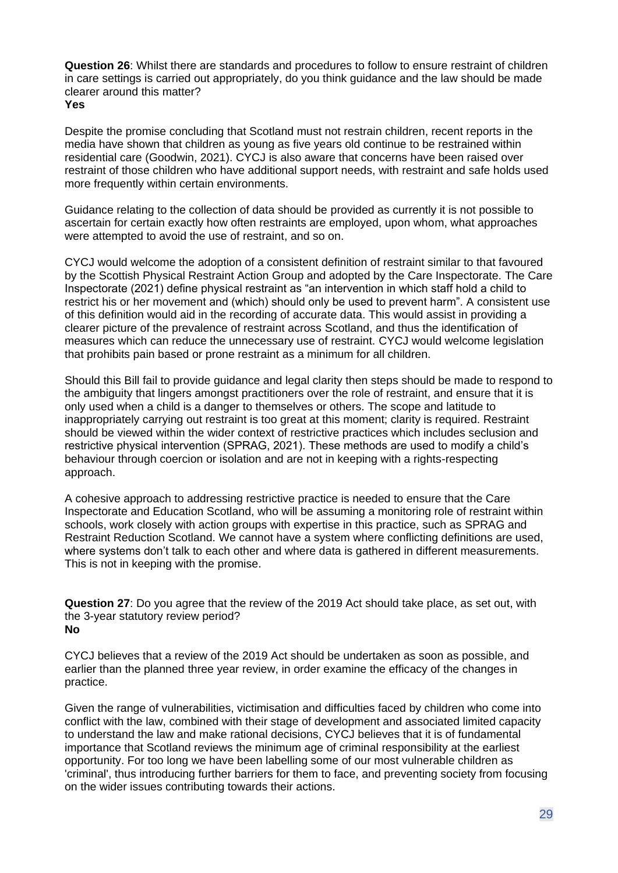**Question 26**: Whilst there are standards and procedures to follow to ensure restraint of children in care settings is carried out appropriately, do you think guidance and the law should be made clearer around this matter?

**Yes**

Despite the promise concluding that Scotland must not restrain children, recent reports in the media have shown that children as young as five years old continue to be restrained within residential care (Goodwin, 2021). CYCJ is also aware that concerns have been raised over restraint of those children who have additional support needs, with restraint and safe holds used more frequently within certain environments.

Guidance relating to the collection of data should be provided as currently it is not possible to ascertain for certain exactly how often restraints are employed, upon whom, what approaches were attempted to avoid the use of restraint, and so on.

CYCJ would welcome the adoption of a consistent definition of restraint similar to that favoured by the Scottish Physical Restraint Action Group and adopted by the Care Inspectorate. The Care Inspectorate (2021) define physical restraint as "an intervention in which staff hold a child to restrict his or her movement and (which) should only be used to prevent harm". A consistent use of this definition would aid in the recording of accurate data. This would assist in providing a clearer picture of the prevalence of restraint across Scotland, and thus the identification of measures which can reduce the unnecessary use of restraint. CYCJ would welcome legislation that prohibits pain based or prone restraint as a minimum for all children.

Should this Bill fail to provide guidance and legal clarity then steps should be made to respond to the ambiguity that lingers amongst practitioners over the role of restraint, and ensure that it is only used when a child is a danger to themselves or others. The scope and latitude to inappropriately carrying out restraint is too great at this moment; clarity is required. Restraint should be viewed within the wider context of restrictive practices which includes seclusion and restrictive physical intervention (SPRAG, 2021). These methods are used to modify a child's behaviour through coercion or isolation and are not in keeping with a rights-respecting approach.

A cohesive approach to addressing restrictive practice is needed to ensure that the Care Inspectorate and Education Scotland, who will be assuming a monitoring role of restraint within schools, work closely with action groups with expertise in this practice, such as SPRAG and Restraint Reduction Scotland. We cannot have a system where conflicting definitions are used, where systems don't talk to each other and where data is gathered in different measurements. This is not in keeping with the promise.

**Question 27**: Do you agree that the review of the 2019 Act should take place, as set out, with the 3-year statutory review period? **No**

CYCJ believes that a review of the 2019 Act should be undertaken as soon as possible, and earlier than the planned three year review, in order examine the efficacy of the changes in practice.

Given the range of vulnerabilities, victimisation and difficulties faced by children who come into conflict with the law, combined with their stage of development and associated limited capacity to understand the law and make rational decisions, CYCJ believes that it is of fundamental importance that Scotland reviews the minimum age of criminal responsibility at the earliest opportunity. For too long we have been labelling some of our most vulnerable children as 'criminal', thus introducing further barriers for them to face, and preventing society from focusing on the wider issues contributing towards their actions.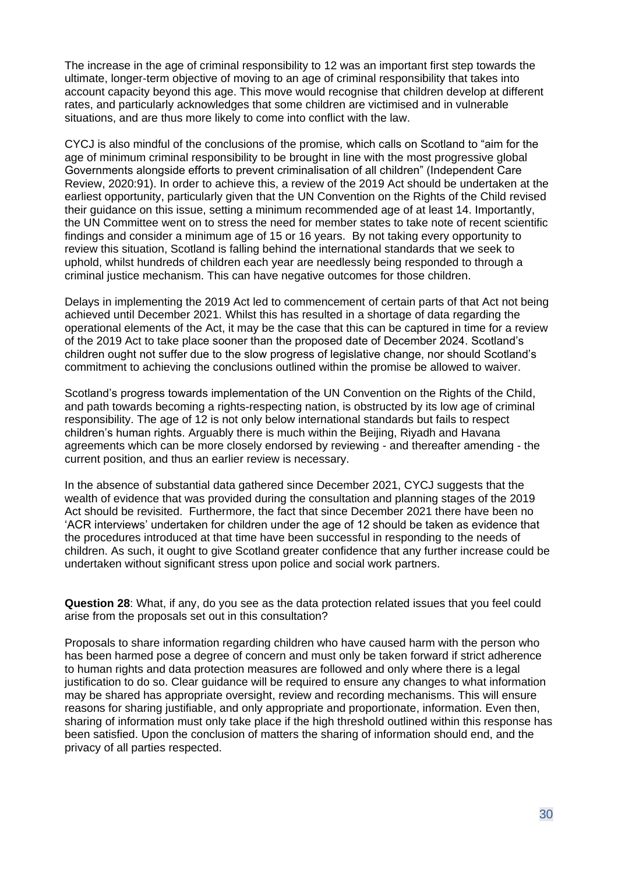The increase in the age of criminal responsibility to 12 was an important first step towards the ultimate, longer-term objective of moving to an age of criminal responsibility that takes into account capacity beyond this age. This move would recognise that children develop at different rates, and particularly acknowledges that some children are victimised and in vulnerable situations, and are thus more likely to come into conflict with the law.

CYCJ is also mindful of the conclusions of the promise*,* which calls on Scotland to "aim for the age of minimum criminal responsibility to be brought in line with the most progressive global Governments alongside efforts to prevent criminalisation of all children" (Independent Care Review, 2020:91). In order to achieve this, a review of the 2019 Act should be undertaken at the earliest opportunity, particularly given that the UN Convention on the Rights of the Child revised their guidance on this issue, setting a minimum recommended age of at least 14. Importantly, the UN Committee went on to stress the need for member states to take note of recent scientific findings and consider a minimum age of 15 or 16 years. By not taking every opportunity to review this situation, Scotland is falling behind the international standards that we seek to uphold, whilst hundreds of children each year are needlessly being responded to through a criminal justice mechanism. This can have negative outcomes for those children.

Delays in implementing the 2019 Act led to commencement of certain parts of that Act not being achieved until December 2021. Whilst this has resulted in a shortage of data regarding the operational elements of the Act, it may be the case that this can be captured in time for a review of the 2019 Act to take place sooner than the proposed date of December 2024. Scotland's children ought not suffer due to the slow progress of legislative change, nor should Scotland's commitment to achieving the conclusions outlined within the promise be allowed to waiver.

Scotland's progress towards implementation of the UN Convention on the Rights of the Child, and path towards becoming a rights-respecting nation, is obstructed by its low age of criminal responsibility. The age of 12 is not only below international standards but fails to respect children's human rights. Arguably there is much within the Beijing, Riyadh and Havana agreements which can be more closely endorsed by reviewing - and thereafter amending - the current position, and thus an earlier review is necessary.

In the absence of substantial data gathered since December 2021, CYCJ suggests that the wealth of evidence that was provided during the consultation and planning stages of the 2019 Act should be revisited. Furthermore, the fact that since December 2021 there have been no 'ACR interviews' undertaken for children under the age of 12 should be taken as evidence that the procedures introduced at that time have been successful in responding to the needs of children. As such, it ought to give Scotland greater confidence that any further increase could be undertaken without significant stress upon police and social work partners.

**Question 28**: What, if any, do you see as the data protection related issues that you feel could arise from the proposals set out in this consultation?

Proposals to share information regarding children who have caused harm with the person who has been harmed pose a degree of concern and must only be taken forward if strict adherence to human rights and data protection measures are followed and only where there is a legal justification to do so. Clear guidance will be required to ensure any changes to what information may be shared has appropriate oversight, review and recording mechanisms. This will ensure reasons for sharing justifiable, and only appropriate and proportionate, information. Even then, sharing of information must only take place if the high threshold outlined within this response has been satisfied. Upon the conclusion of matters the sharing of information should end, and the privacy of all parties respected.